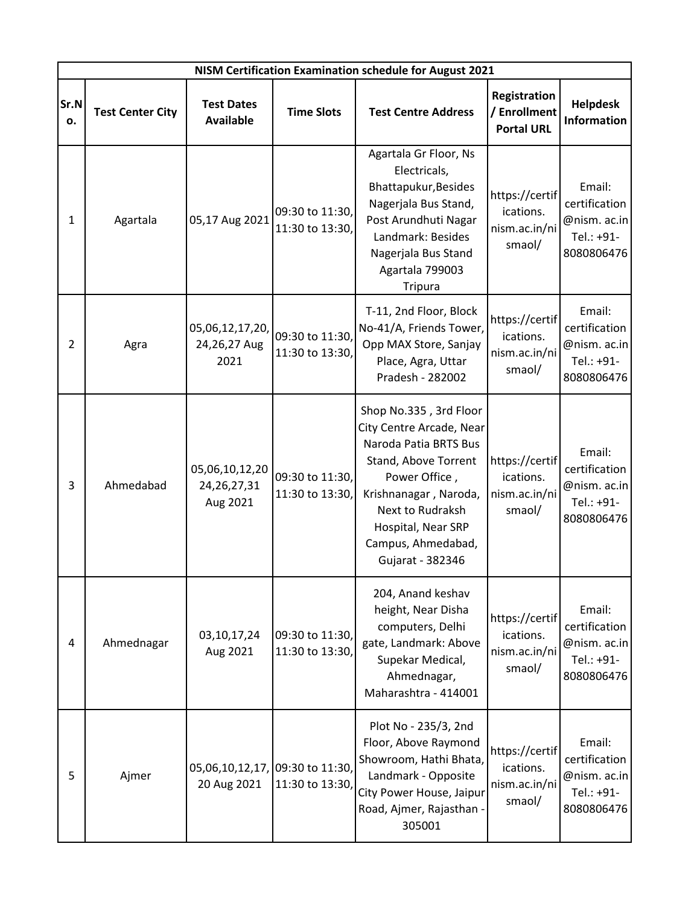|            | NISM Certification Examination schedule for August 2021 |                                                |                                    |                                                                                                                                                                                                                                   |                                                        |                                                                     |  |  |  |
|------------|---------------------------------------------------------|------------------------------------------------|------------------------------------|-----------------------------------------------------------------------------------------------------------------------------------------------------------------------------------------------------------------------------------|--------------------------------------------------------|---------------------------------------------------------------------|--|--|--|
| Sr.N<br>ο. | <b>Test Center City</b>                                 | <b>Test Dates</b><br><b>Available</b>          | <b>Time Slots</b>                  | <b>Test Centre Address</b>                                                                                                                                                                                                        | Registration<br>/ Enrollment<br><b>Portal URL</b>      | <b>Helpdesk</b><br><b>Information</b>                               |  |  |  |
| 1          | Agartala                                                | 05,17 Aug 2021                                 | 09:30 to 11:30,<br>11:30 to 13:30, | Agartala Gr Floor, Ns<br>Electricals,<br>Bhattapukur, Besides<br>Nagerjala Bus Stand,<br>Post Arundhuti Nagar<br>Landmark: Besides<br>Nagerjala Bus Stand<br>Agartala 799003<br><b>Tripura</b>                                    | https://certif<br>ications.<br>nism.ac.in/ni<br>smaol/ | Email:<br>certification<br>@nism. ac.in<br>Tel.: +91-<br>8080806476 |  |  |  |
| 2          | Agra                                                    | 05,06,12,17,20,<br>24,26,27 Aug<br>2021        | 09:30 to 11:30,<br>11:30 to 13:30, | T-11, 2nd Floor, Block<br>No-41/A, Friends Tower,<br>Opp MAX Store, Sanjay<br>Place, Agra, Uttar<br>Pradesh - 282002                                                                                                              | https://certif<br>ications.<br>nism.ac.in/ni<br>smaol/ | Email:<br>certification<br>@nism. ac.in<br>Tel.: +91-<br>8080806476 |  |  |  |
| 3          | Ahmedabad                                               | 05,06,10,12,20<br>24, 26, 27, 31<br>Aug 2021   | 09:30 to 11:30,<br>11:30 to 13:30, | Shop No.335, 3rd Floor<br>City Centre Arcade, Near<br>Naroda Patia BRTS Bus<br>Stand, Above Torrent<br>Power Office,<br>Krishnanagar, Naroda,<br>Next to Rudraksh<br>Hospital, Near SRP<br>Campus, Ahmedabad,<br>Gujarat - 382346 | https://certif<br>ications.<br>nism.ac.in/ni<br>smaol/ | Email:<br>certification<br>@nism. ac.in<br>Tel.: +91-<br>8080806476 |  |  |  |
| 4          | Ahmednagar                                              | 03,10,17,24<br>Aug 2021                        | 09:30 to 11:30,<br>11:30 to 13:30, | 204, Anand keshav<br>height, Near Disha<br>computers, Delhi<br>gate, Landmark: Above<br>Supekar Medical,<br>Ahmednagar,<br>Maharashtra - 414001                                                                                   | https://certif<br>ications.<br>nism.ac.in/ni<br>smaol/ | Email:<br>certification<br>@nism. ac.in<br>Tel.: +91-<br>8080806476 |  |  |  |
| 5          | Ajmer                                                   | 05,06,10,12,17, 09:30 to 11:30,<br>20 Aug 2021 | 11:30 to 13:30,                    | Plot No - 235/3, 2nd<br>Floor, Above Raymond<br>Showroom, Hathi Bhata,<br>Landmark - Opposite<br>City Power House, Jaipur<br>Road, Ajmer, Rajasthan -<br>305001                                                                   | https://certif<br>ications.<br>nism.ac.in/ni<br>smaol/ | Email:<br>certification<br>@nism. ac.in<br>Tel.: +91-<br>8080806476 |  |  |  |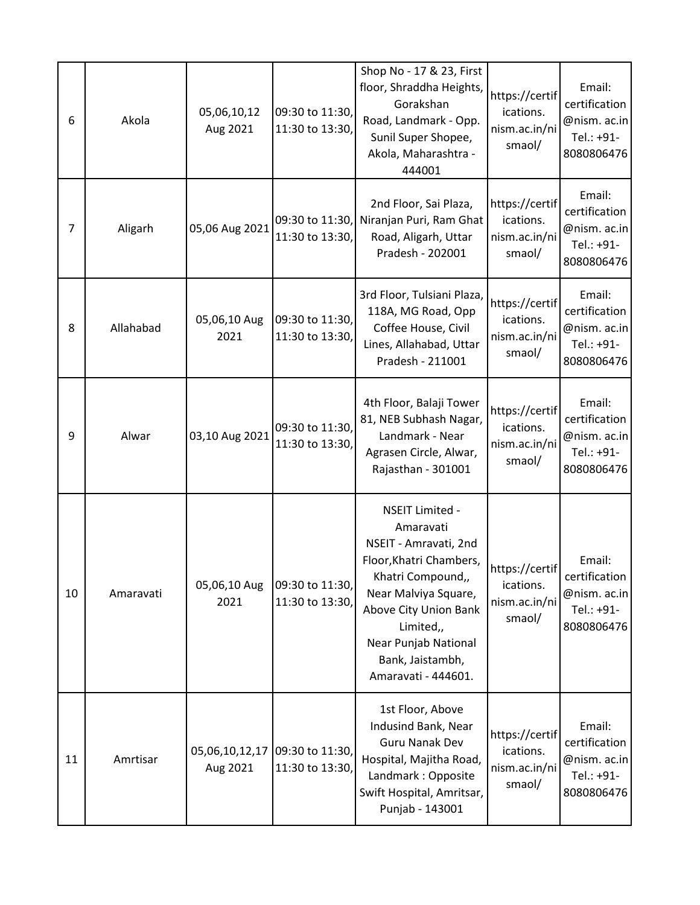| 6  | Akola     | 05,06,10,12<br>Aug 2021    | 09:30 to 11:30,<br>11:30 to 13:30, | Shop No - 17 & 23, First<br>floor, Shraddha Heights,<br>Gorakshan<br>Road, Landmark - Opp.<br>Sunil Super Shopee,<br>Akola, Maharashtra -<br>444001                                                                                    | https://certif<br>ications.<br>nism.ac.in/ni<br>smaol/ | Email:<br>certification<br>@nism. ac.in<br>Tel.: +91-<br>8080806476 |
|----|-----------|----------------------------|------------------------------------|----------------------------------------------------------------------------------------------------------------------------------------------------------------------------------------------------------------------------------------|--------------------------------------------------------|---------------------------------------------------------------------|
| 7  | Aligarh   | 05,06 Aug 2021             | 09:30 to 11:30,<br>11:30 to 13:30, | 2nd Floor, Sai Plaza,<br>Niranjan Puri, Ram Ghat<br>Road, Aligarh, Uttar<br>Pradesh - 202001                                                                                                                                           | https://certif<br>ications.<br>nism.ac.in/ni<br>smaol/ | Email:<br>certification<br>@nism. ac.in<br>Tel.: +91-<br>8080806476 |
| 8  | Allahabad | 05,06,10 Aug<br>2021       | 09:30 to 11:30,<br>11:30 to 13:30, | 3rd Floor, Tulsiani Plaza,<br>118A, MG Road, Opp<br>Coffee House, Civil<br>Lines, Allahabad, Uttar<br>Pradesh - 211001                                                                                                                 | https://certif<br>ications.<br>nism.ac.in/ni<br>smaol/ | Email:<br>certification<br>@nism. ac.in<br>Tel.: +91-<br>8080806476 |
| 9  | Alwar     | 03,10 Aug 2021             | 09:30 to 11:30,<br>11:30 to 13:30, | 4th Floor, Balaji Tower<br>81, NEB Subhash Nagar,<br>Landmark - Near<br>Agrasen Circle, Alwar,<br>Rajasthan - 301001                                                                                                                   | https://certif<br>ications.<br>nism.ac.in/ni<br>smaol/ | Email:<br>certification<br>@nism. ac.in<br>Tel.: +91-<br>8080806476 |
| 10 | Amaravati | 05,06,10 Aug<br>2021       | 09:30 to 11:30,<br>11:30 to 13:30, | NSEIT Limited -<br>Amaravati<br>NSEIT - Amravati, 2nd<br>Floor, Khatri Chambers,<br>Khatri Compound,,<br>Near Malviya Square,<br>Above City Union Bank<br>Limited,,<br>Near Punjab National<br>Bank, Jaistambh,<br>Amaravati - 444601. | https://certif<br>ications.<br>nism.ac.in/ni<br>smaol/ | Email:<br>certification<br>@nism. ac.in<br>Tel.: +91-<br>8080806476 |
| 11 | Amrtisar  | 05,06,10,12,17<br>Aug 2021 | 09:30 to 11:30,<br>11:30 to 13:30, | 1st Floor, Above<br>Indusind Bank, Near<br><b>Guru Nanak Dev</b><br>Hospital, Majitha Road,<br>Landmark: Opposite<br>Swift Hospital, Amritsar,<br>Punjab - 143001                                                                      | https://certif<br>ications.<br>nism.ac.in/ni<br>smaol/ | Email:<br>certification<br>@nism. ac.in<br>Tel.: +91-<br>8080806476 |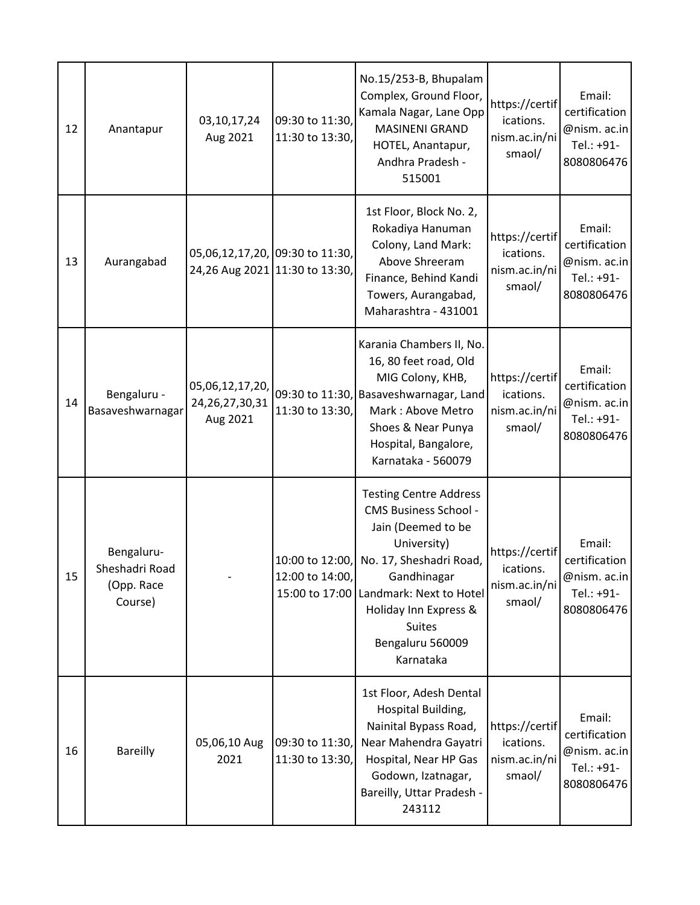| 12 | Anantapur                                             | 03,10,17,24<br>Aug 2021                                           | 09:30 to 11:30,<br>11:30 to 13:30, | No.15/253-B, Bhupalam<br>Complex, Ground Floor,<br>Kamala Nagar, Lane Opp<br><b>MASINENI GRAND</b><br>HOTEL, Anantapur,<br>Andhra Pradesh -<br>515001                                                                                                             | https://certif<br>ications.<br>nism.ac.in/ni<br>smaol/ | Email:<br>certification<br>@nism. ac.in<br>Tel.: +91-<br>8080806476 |
|----|-------------------------------------------------------|-------------------------------------------------------------------|------------------------------------|-------------------------------------------------------------------------------------------------------------------------------------------------------------------------------------------------------------------------------------------------------------------|--------------------------------------------------------|---------------------------------------------------------------------|
| 13 | Aurangabad                                            | 05,06,12,17,20, 09:30 to 11:30,<br>24,26 Aug 2021 11:30 to 13:30, |                                    | 1st Floor, Block No. 2,<br>Rokadiya Hanuman<br>Colony, Land Mark:<br>Above Shreeram<br>Finance, Behind Kandi<br>Towers, Aurangabad,<br>Maharashtra - 431001                                                                                                       | https://certif<br>ications.<br>nism.ac.in/ni<br>smaol/ | Email:<br>certification<br>@nism. ac.in<br>Tel.: +91-<br>8080806476 |
| 14 | Bengaluru -<br>Basaveshwarnagar                       | 05,06,12,17,20,<br>24, 26, 27, 30, 31<br>Aug 2021                 | 11:30 to 13:30,                    | Karania Chambers II, No.<br>16, 80 feet road, Old<br>MIG Colony, KHB,<br>09:30 to 11:30, Basaveshwarnagar, Land<br>Mark: Above Metro<br>Shoes & Near Punya<br>Hospital, Bangalore,<br>Karnataka - 560079                                                          | https://certif<br>ications.<br>nism.ac.in/ni<br>smaol/ | Email:<br>certification<br>@nism. ac.in<br>Tel.: +91-<br>8080806476 |
| 15 | Bengaluru-<br>Sheshadri Road<br>(Opp. Race<br>Course) |                                                                   | 10:00 to 12:00,<br>12:00 to 14:00, | <b>Testing Centre Address</b><br><b>CMS Business School -</b><br>Jain (Deemed to be<br>University)<br>No. 17, Sheshadri Road,<br>Gandhinagar<br>15:00 to 17:00 Landmark: Next to Hotel<br>Holiday Inn Express &<br><b>Suites</b><br>Bengaluru 560009<br>Karnataka | https://certif<br>ications.<br>nism.ac.in/ni<br>smaol/ | Email:<br>certification<br>@nism. ac.in<br>Tel.: +91-<br>8080806476 |
| 16 | <b>Bareilly</b>                                       | 05,06,10 Aug<br>2021                                              | 09:30 to 11:30,<br>11:30 to 13:30, | 1st Floor, Adesh Dental<br>Hospital Building,<br>Nainital Bypass Road,<br>Near Mahendra Gayatri<br>Hospital, Near HP Gas<br>Godown, Izatnagar,<br>Bareilly, Uttar Pradesh -<br>243112                                                                             | https://certif<br>ications.<br>nism.ac.in/ni<br>smaol/ | Email:<br>certification<br>@nism. ac.in<br>Tel.: +91-<br>8080806476 |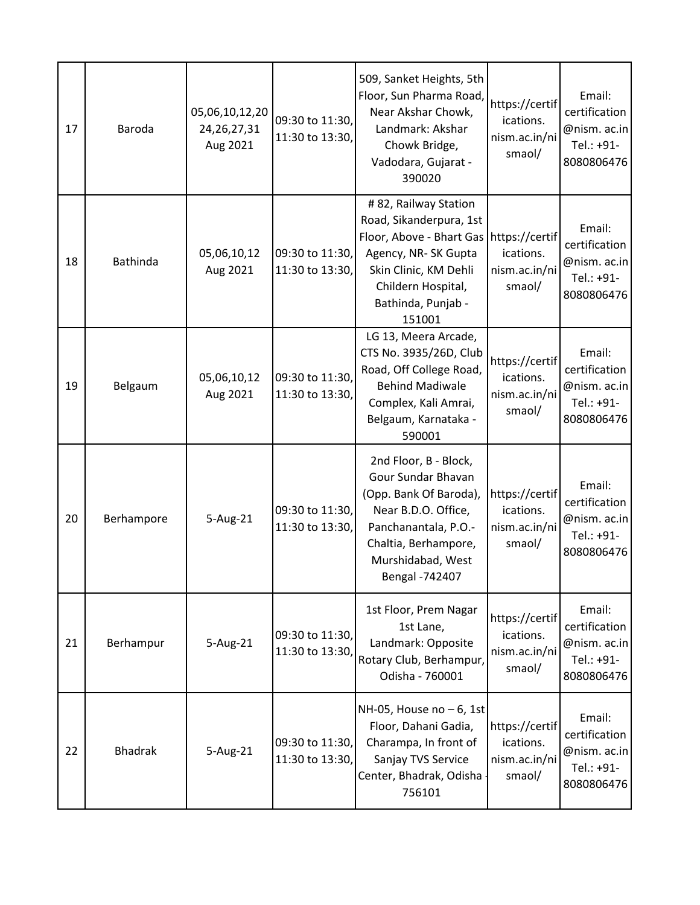| 17 | Baroda          | 05,06,10,12,20<br>24, 26, 27, 31<br>Aug 2021 | 09:30 to 11:30,<br>11:30 to 13:30, | 509, Sanket Heights, 5th<br>Floor, Sun Pharma Road,<br>Near Akshar Chowk,<br>Landmark: Akshar<br>Chowk Bridge,<br>Vadodara, Gujarat -<br>390020                                     | https://certif<br>ications.<br>nism.ac.in/ni<br>smaol/ | Email:<br>certification<br>@nism. ac.in<br>Tel.: +91-<br>8080806476 |
|----|-----------------|----------------------------------------------|------------------------------------|-------------------------------------------------------------------------------------------------------------------------------------------------------------------------------------|--------------------------------------------------------|---------------------------------------------------------------------|
| 18 | <b>Bathinda</b> | 05,06,10,12<br>Aug 2021                      | 09:30 to 11:30,<br>11:30 to 13:30, | # 82, Railway Station<br>Road, Sikanderpura, 1st<br>Floor, Above - Bhart Gas<br>Agency, NR-SK Gupta<br>Skin Clinic, KM Dehli<br>Childern Hospital,<br>Bathinda, Punjab -<br>151001  | https://certif<br>ications.<br>nism.ac.in/ni<br>smaol/ | Email:<br>certification<br>@nism. ac.in<br>Tel.: +91-<br>8080806476 |
| 19 | Belgaum         | 05,06,10,12<br>Aug 2021                      | 09:30 to 11:30,<br>11:30 to 13:30, | LG 13, Meera Arcade,<br>CTS No. 3935/26D, Club<br>Road, Off College Road,<br><b>Behind Madiwale</b><br>Complex, Kali Amrai,<br>Belgaum, Karnataka -<br>590001                       | https://certif<br>ications.<br>nism.ac.in/ni<br>smaol/ | Email:<br>certification<br>@nism. ac.in<br>Tel.: +91-<br>8080806476 |
| 20 | Berhampore      | 5-Aug-21                                     | 09:30 to 11:30,<br>11:30 to 13:30, | 2nd Floor, B - Block,<br>Gour Sundar Bhavan<br>(Opp. Bank Of Baroda),<br>Near B.D.O. Office,<br>Panchanantala, P.O.-<br>Chaltia, Berhampore,<br>Murshidabad, West<br>Bengal -742407 | https://certif<br>ications.<br>nism.ac.in/ni<br>smaol/ | Email:<br>certification<br>@nism. ac.in<br>Tel.: +91-<br>8080806476 |
| 21 | Berhampur       | 5-Aug-21                                     | 09:30 to 11:30,<br>11:30 to 13:30, | 1st Floor, Prem Nagar<br>1st Lane,<br>Landmark: Opposite<br>Rotary Club, Berhampur,<br>Odisha - 760001                                                                              | https://certif<br>ications.<br>nism.ac.in/ni<br>smaol/ | Email:<br>certification<br>@nism. ac.in<br>Tel.: +91-<br>8080806476 |
| 22 | <b>Bhadrak</b>  | 5-Aug-21                                     | 09:30 to 11:30,<br>11:30 to 13:30, | NH-05, House no $-6$ , 1st<br>Floor, Dahani Gadia,<br>Charampa, In front of<br>Sanjay TVS Service<br>Center, Bhadrak, Odisha<br>756101                                              | https://certif<br>ications.<br>nism.ac.in/ni<br>smaol/ | Email:<br>certification<br>@nism. ac.in<br>Tel.: +91-<br>8080806476 |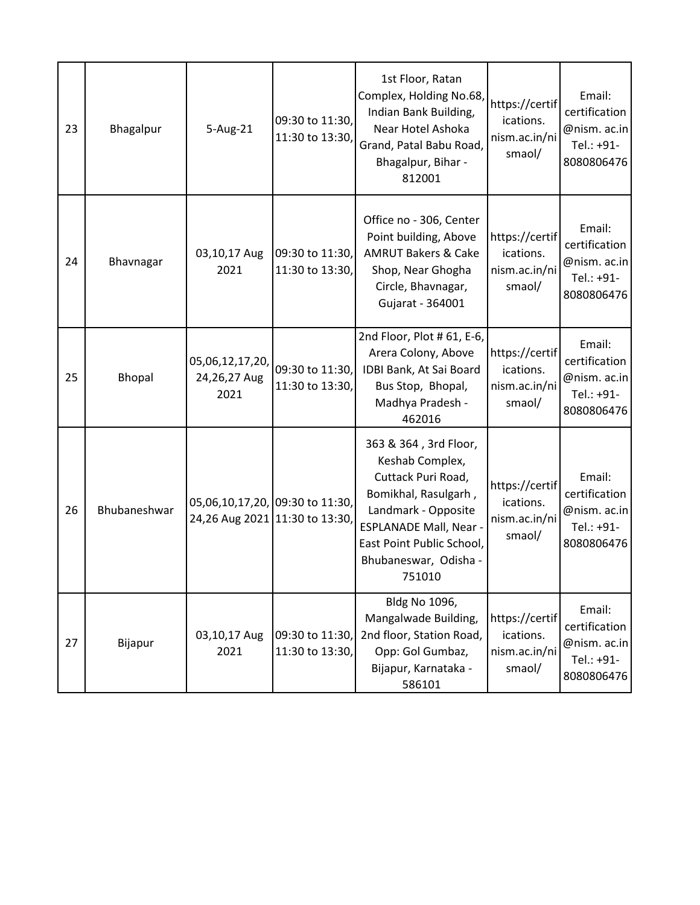| 23 | Bhagalpur    | 5-Aug-21                                | 09:30 to 11:30,<br>11:30 to 13:30,                                | 1st Floor, Ratan<br>Complex, Holding No.68,<br>Indian Bank Building,<br>Near Hotel Ashoka<br>Grand, Patal Babu Road,<br>Bhagalpur, Bihar -                                                                               | https://certif<br>ications.<br>nism.ac.in/ni<br>smaol/ | Email:<br>certification<br>@nism. ac.in<br>Tel.: +91-<br>8080806476               |
|----|--------------|-----------------------------------------|-------------------------------------------------------------------|--------------------------------------------------------------------------------------------------------------------------------------------------------------------------------------------------------------------------|--------------------------------------------------------|-----------------------------------------------------------------------------------|
| 24 | Bhavnagar    | 03,10,17 Aug<br>2021                    | 09:30 to 11:30,<br>11:30 to 13:30,                                | 812001<br>Office no - 306, Center<br>Point building, Above<br><b>AMRUT Bakers &amp; Cake</b><br>Shop, Near Ghogha<br>Circle, Bhavnagar,                                                                                  | https://certif<br>ications.<br>nism.ac.in/ni<br>smaol/ | Email:<br>certification<br>@nism. ac.in<br>Tel.: +91-                             |
| 25 | Bhopal       | 05,06,12,17,20,<br>24,26,27 Aug<br>2021 | 09:30 to 11:30,<br>11:30 to 13:30,                                | Gujarat - 364001<br>2nd Floor, Plot # 61, E-6,<br>Arera Colony, Above<br>IDBI Bank, At Sai Board<br>Bus Stop, Bhopal,<br>Madhya Pradesh -                                                                                | https://certif<br>ications.<br>nism.ac.in/ni<br>smaol/ | 8080806476<br>Email:<br>certification<br>@nism. ac.in<br>Tel.: +91-<br>8080806476 |
| 26 | Bhubaneshwar |                                         | 05,06,10,17,20, 09:30 to 11:30,<br>24,26 Aug 2021 11:30 to 13:30, | 462016<br>363 & 364, 3rd Floor,<br>Keshab Complex,<br>Cuttack Puri Road,<br>Bomikhal, Rasulgarh,<br>Landmark - Opposite<br><b>ESPLANADE Mall, Near -</b><br>East Point Public School,<br>Bhubaneswar, Odisha -<br>751010 | https://certif<br>ications.<br>nism.ac.in/ni<br>smaol/ | Email:<br>certification<br>@nism. ac.in<br>Tel.: +91-<br>8080806476               |
| 27 | Bijapur      | 03,10,17 Aug<br>2021                    | 09:30 to 11:30,<br>11:30 to 13:30,                                | Bldg No 1096,<br>Mangalwade Building,<br>2nd floor, Station Road,<br>Opp: Gol Gumbaz,<br>Bijapur, Karnataka -<br>586101                                                                                                  | https://certif<br>ications.<br>nism.ac.in/ni<br>smaol/ | Email:<br>certification<br>@nism. ac.in<br>Tel.: +91-<br>8080806476               |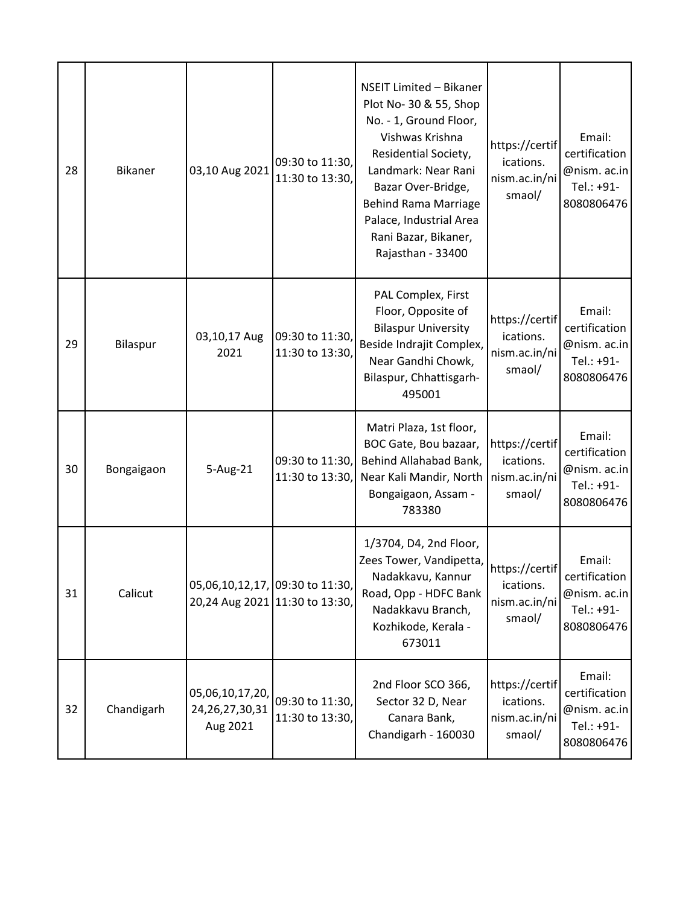| 28 | <b>Bikaner</b> | 03,10 Aug 2021                                    | 09:30 to 11:30,<br>11:30 to 13:30, | NSEIT Limited - Bikaner<br>Plot No- 30 & 55, Shop<br>No. - 1, Ground Floor,<br>Vishwas Krishna<br>Residential Society,<br>Landmark: Near Rani<br>Bazar Over-Bridge,<br><b>Behind Rama Marriage</b><br>Palace, Industrial Area<br>Rani Bazar, Bikaner,<br>Rajasthan - 33400 | https://certif<br>ications.<br>nism.ac.in/ni<br>smaol/ | Email:<br>certification<br>@nism. ac.in<br>Tel.: +91-<br>8080806476 |
|----|----------------|---------------------------------------------------|------------------------------------|----------------------------------------------------------------------------------------------------------------------------------------------------------------------------------------------------------------------------------------------------------------------------|--------------------------------------------------------|---------------------------------------------------------------------|
| 29 | Bilaspur       | 03,10,17 Aug<br>2021                              | 09:30 to 11:30,<br>11:30 to 13:30, | PAL Complex, First<br>Floor, Opposite of<br><b>Bilaspur University</b><br>Beside Indrajit Complex,<br>Near Gandhi Chowk,<br>Bilaspur, Chhattisgarh-<br>495001                                                                                                              | https://certif<br>ications.<br>nism.ac.in/ni<br>smaol/ | Email:<br>certification<br>@nism. ac.in<br>Tel.: +91-<br>8080806476 |
| 30 | Bongaigaon     | 5-Aug-21                                          | 09:30 to 11:30,<br>11:30 to 13:30, | Matri Plaza, 1st floor,<br>BOC Gate, Bou bazaar,<br>Behind Allahabad Bank,<br>Near Kali Mandir, North<br>Bongaigaon, Assam -<br>783380                                                                                                                                     | https://certif<br>ications.<br>nism.ac.in/ni<br>smaol/ | Email:<br>certification<br>@nism. ac.in<br>Tel.: +91-<br>8080806476 |
| 31 | Calicut        | 05,06,10,12,17, 09:30 to 11:30,                   | 20,24 Aug 2021 11:30 to 13:30,     | 1/3704, D4, 2nd Floor,<br>Zees Tower, Vandipetta,<br>Nadakkavu, Kannur<br>Road, Opp - HDFC Bank<br>Nadakkavu Branch,<br>Kozhikode, Kerala -<br>673011                                                                                                                      | https://certif<br>ications.<br>nism.ac.in/ni<br>smaol/ | Email:<br>certification<br>@nism. ac.in<br>Tel.: +91-<br>8080806476 |
| 32 | Chandigarh     | 05,06,10,17,20,<br>24, 26, 27, 30, 31<br>Aug 2021 | 09:30 to 11:30,<br>11:30 to 13:30, | 2nd Floor SCO 366,<br>Sector 32 D, Near<br>Canara Bank,<br>Chandigarh - 160030                                                                                                                                                                                             | https://certif<br>ications.<br>nism.ac.in/ni<br>smaol/ | Email:<br>certification<br>@nism. ac.in<br>Tel.: +91-<br>8080806476 |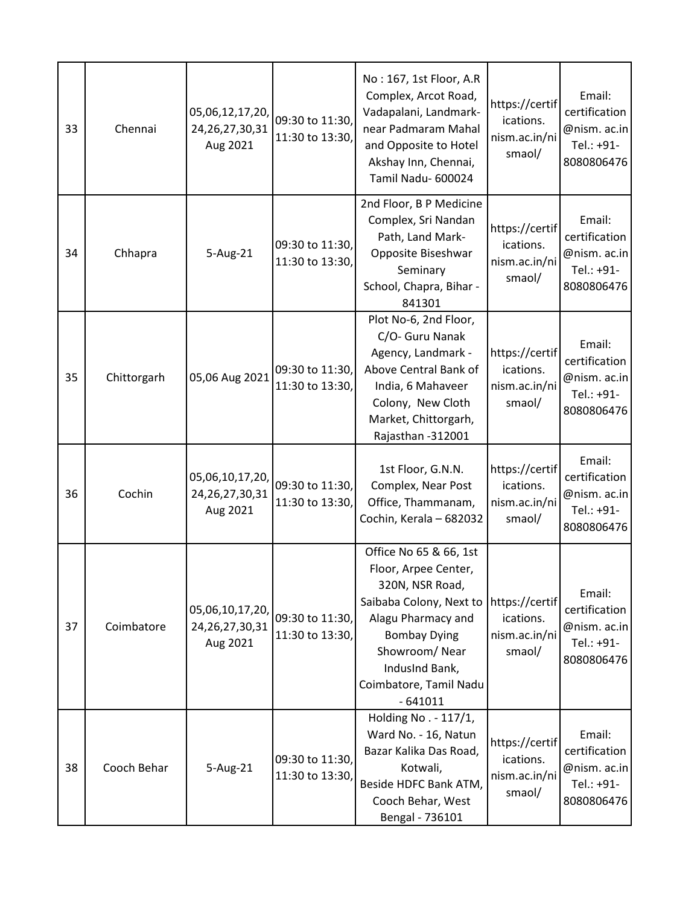| 33 | Chennai     | 05,06,12,17,20,<br>24, 26, 27, 30, 31<br>Aug 2021 | 09:30 to 11:30,<br>11:30 to 13:30, | No: 167, 1st Floor, A.R<br>Complex, Arcot Road,<br>Vadapalani, Landmark-<br>near Padmaram Mahal<br>and Opposite to Hotel<br>Akshay Inn, Chennai,<br>Tamil Nadu- 600024                                                               | https://certif<br>ications.<br>nism.ac.in/ni<br>smaol/ | Email:<br>certification<br>@nism. ac.in<br>Tel.: +91-<br>8080806476 |
|----|-------------|---------------------------------------------------|------------------------------------|--------------------------------------------------------------------------------------------------------------------------------------------------------------------------------------------------------------------------------------|--------------------------------------------------------|---------------------------------------------------------------------|
| 34 | Chhapra     | 5-Aug-21                                          | 09:30 to 11:30,<br>11:30 to 13:30, | 2nd Floor, B P Medicine<br>Complex, Sri Nandan<br>Path, Land Mark-<br>Opposite Biseshwar<br>Seminary<br>School, Chapra, Bihar -<br>841301                                                                                            | https://certif<br>ications.<br>nism.ac.in/ni<br>smaol/ | Email:<br>certification<br>@nism. ac.in<br>Tel.: +91-<br>8080806476 |
| 35 | Chittorgarh | 05,06 Aug 2021                                    | 09:30 to 11:30,<br>11:30 to 13:30, | Plot No-6, 2nd Floor,<br>C/O- Guru Nanak<br>Agency, Landmark -<br>Above Central Bank of<br>India, 6 Mahaveer<br>Colony, New Cloth<br>Market, Chittorgarh,<br>Rajasthan -312001                                                       | https://certif<br>ications.<br>nism.ac.in/ni<br>smaol/ | Email:<br>certification<br>@nism. ac.in<br>Tel.: +91-<br>8080806476 |
| 36 | Cochin      | 05,06,10,17,20,<br>24, 26, 27, 30, 31<br>Aug 2021 | 09:30 to 11:30,<br>11:30 to 13:30, | 1st Floor, G.N.N.<br>Complex, Near Post<br>Office, Thammanam,<br>Cochin, Kerala - 682032                                                                                                                                             | https://certif<br>ications.<br>nism.ac.in/ni<br>smaol/ | Email:<br>certification<br>@nism. ac.in<br>Tel.: +91-<br>8080806476 |
| 37 | Coimbatore  | 05,06,10,17,20,<br>24, 26, 27, 30, 31<br>Aug 2021 | 09:30 to 11:30,<br>11:30 to 13:30, | Office No 65 & 66, 1st<br>Floor, Arpee Center,<br>320N, NSR Road,<br>Saibaba Colony, Next to   https://certif<br>Alagu Pharmacy and<br><b>Bombay Dying</b><br>Showroom/Near<br>IndusInd Bank,<br>Coimbatore, Tamil Nadu<br>$-641011$ | ications.<br>nism.ac.in/ni<br>smaol/                   | Email:<br>certification<br>@nism. ac.in<br>Tel.: +91-<br>8080806476 |
| 38 | Cooch Behar | 5-Aug-21                                          | 09:30 to 11:30,<br>11:30 to 13:30, | Holding No. - 117/1,<br>Ward No. - 16, Natun<br>Bazar Kalika Das Road,<br>Kotwali,<br>Beside HDFC Bank ATM,<br>Cooch Behar, West<br>Bengal - 736101                                                                                  | https://certif<br>ications.<br>nism.ac.in/ni<br>smaol/ | Email:<br>certification<br>@nism. ac.in<br>Tel.: +91-<br>8080806476 |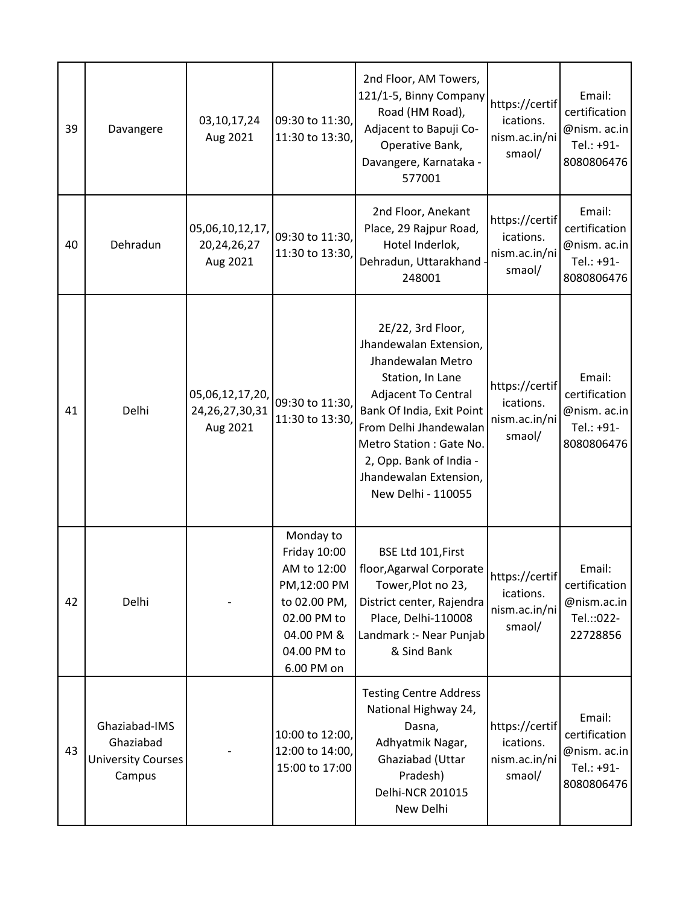| 39 | Davangere                                                         | 03, 10, 17, 24<br>Aug 2021                        | 09:30 to 11:30,<br>11:30 to 13:30,                                                                                                | 2nd Floor, AM Towers,<br>121/1-5, Binny Company<br>Road (HM Road),<br>Adjacent to Bapuji Co-<br>Operative Bank,<br>Davangere, Karnataka -<br>577001                                                                                                                              | https://certif<br>ications.<br>nism.ac.in/ni<br>smaol/ | Email:<br>certification<br>@nism. ac.in<br>Tel.: +91-<br>8080806476 |
|----|-------------------------------------------------------------------|---------------------------------------------------|-----------------------------------------------------------------------------------------------------------------------------------|----------------------------------------------------------------------------------------------------------------------------------------------------------------------------------------------------------------------------------------------------------------------------------|--------------------------------------------------------|---------------------------------------------------------------------|
| 40 | Dehradun                                                          | 05,06,10,12,17,<br>20, 24, 26, 27<br>Aug 2021     | 09:30 to 11:30,<br>11:30 to 13:30,                                                                                                | 2nd Floor, Anekant<br>Place, 29 Rajpur Road,<br>Hotel Inderlok,<br>Dehradun, Uttarakhand<br>248001                                                                                                                                                                               | https://certif<br>ications.<br>nism.ac.in/ni<br>smaol/ | Email:<br>certification<br>@nism. ac.in<br>Tel.: +91-<br>8080806476 |
| 41 | Delhi                                                             | 05,06,12,17,20,<br>24, 26, 27, 30, 31<br>Aug 2021 | 09:30 to 11:30,<br>11:30 to 13:30,                                                                                                | 2E/22, 3rd Floor,<br>Jhandewalan Extension,<br>Jhandewalan Metro<br>Station, In Lane<br><b>Adjacent To Central</b><br>Bank Of India, Exit Point<br>From Delhi Jhandewalan<br>Metro Station : Gate No.<br>2, Opp. Bank of India -<br>Jhandewalan Extension,<br>New Delhi - 110055 | https://certif<br>ications.<br>nism.ac.in/ni<br>smaol/ | Email:<br>certification<br>@nism. ac.in<br>Tel.: +91-<br>8080806476 |
| 42 | Delhi                                                             |                                                   | Monday to<br>Friday 10:00<br>AM to 12:00<br>PM,12:00 PM<br>to 02.00 PM,<br>02.00 PM to<br>04.00 PM &<br>04.00 PM to<br>6.00 PM on | BSE Ltd 101, First<br>floor, Agarwal Corporate<br>Tower, Plot no 23,<br>District center, Rajendra<br>Place, Delhi-110008<br>Landmark :- Near Punjab<br>& Sind Bank                                                                                                               | https://certif<br>ications.<br>nism.ac.in/ni<br>smaol/ | Email:<br>certification<br>@nism.ac.in<br>Tel.:: 022-<br>22728856   |
| 43 | Ghaziabad-IMS<br>Ghaziabad<br><b>University Courses</b><br>Campus |                                                   | 10:00 to 12:00,<br>12:00 to 14:00,<br>15:00 to 17:00                                                                              | <b>Testing Centre Address</b><br>National Highway 24,<br>Dasna,<br>Adhyatmik Nagar,<br>Ghaziabad (Uttar<br>Pradesh)<br>Delhi-NCR 201015<br>New Delhi                                                                                                                             | https://certif<br>ications.<br>nism.ac.in/ni<br>smaol/ | Email:<br>certification<br>@nism. ac.in<br>Tel.: +91-<br>8080806476 |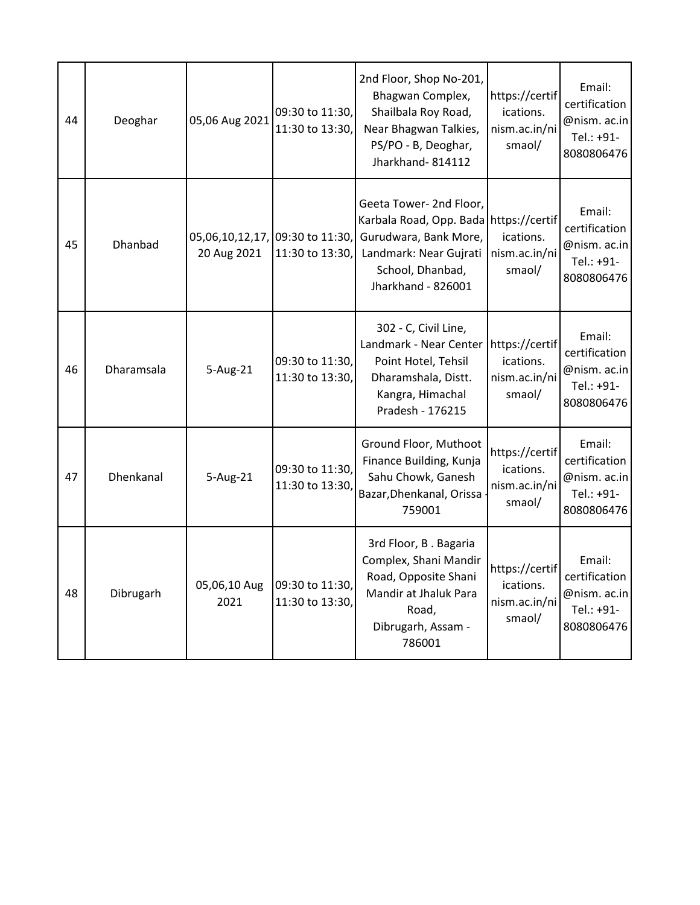| 44 | Deoghar    | 05,06 Aug 2021       | 09:30 to 11:30,<br>11:30 to 13:30,                 | 2nd Floor, Shop No-201,<br>Bhagwan Complex,<br>Shailbala Roy Road,<br>Near Bhagwan Talkies,<br>PS/PO - B, Deoghar,<br>Jharkhand-814112                         | https://certif<br>ications.<br>nism.ac.in/ni<br>smaol/ | Email:<br>certification<br>@nism. ac.in<br>Tel.: +91-<br>8080806476 |
|----|------------|----------------------|----------------------------------------------------|----------------------------------------------------------------------------------------------------------------------------------------------------------------|--------------------------------------------------------|---------------------------------------------------------------------|
| 45 | Dhanbad    | 20 Aug 2021          | 05,06,10,12,17, 09:30 to 11:30,<br>11:30 to 13:30, | Geeta Tower- 2nd Floor,<br>Karbala Road, Opp. Bada https://certif<br>Gurudwara, Bank More,<br>Landmark: Near Gujrati<br>School, Dhanbad,<br>Jharkhand - 826001 | ications.<br>nism.ac.in/ni<br>smaol/                   | Email:<br>certification<br>@nism. ac.in<br>Tel.: +91-<br>8080806476 |
| 46 | Dharamsala | 5-Aug-21             | 09:30 to 11:30,<br>11:30 to 13:30,                 | 302 - C, Civil Line,<br>Landmark - Near Center<br>Point Hotel, Tehsil<br>Dharamshala, Distt.<br>Kangra, Himachal<br>Pradesh - 176215                           | https://certif<br>ications.<br>nism.ac.in/ni<br>smaol/ | Email:<br>certification<br>@nism. ac.in<br>Tel.: +91-<br>8080806476 |
| 47 | Dhenkanal  | 5-Aug-21             | 09:30 to 11:30,<br>11:30 to 13:30,                 | Ground Floor, Muthoot<br>Finance Building, Kunja<br>Sahu Chowk, Ganesh<br>Bazar, Dhenkanal, Orissa<br>759001                                                   | https://certif<br>ications.<br>nism.ac.in/ni<br>smaol/ | Email:<br>certification<br>@nism. ac.in<br>Tel.: +91-<br>8080806476 |
| 48 | Dibrugarh  | 05,06,10 Aug<br>2021 | 09:30 to 11:30,<br>11:30 to 13:30,                 | 3rd Floor, B. Bagaria<br>Complex, Shani Mandir<br>Road, Opposite Shani<br>Mandir at Jhaluk Para<br>Road,<br>Dibrugarh, Assam -<br>786001                       | https://certif<br>ications.<br>nism.ac.in/ni<br>smaol/ | Email:<br>certification<br>@nism. ac.in<br>Tel.: +91-<br>8080806476 |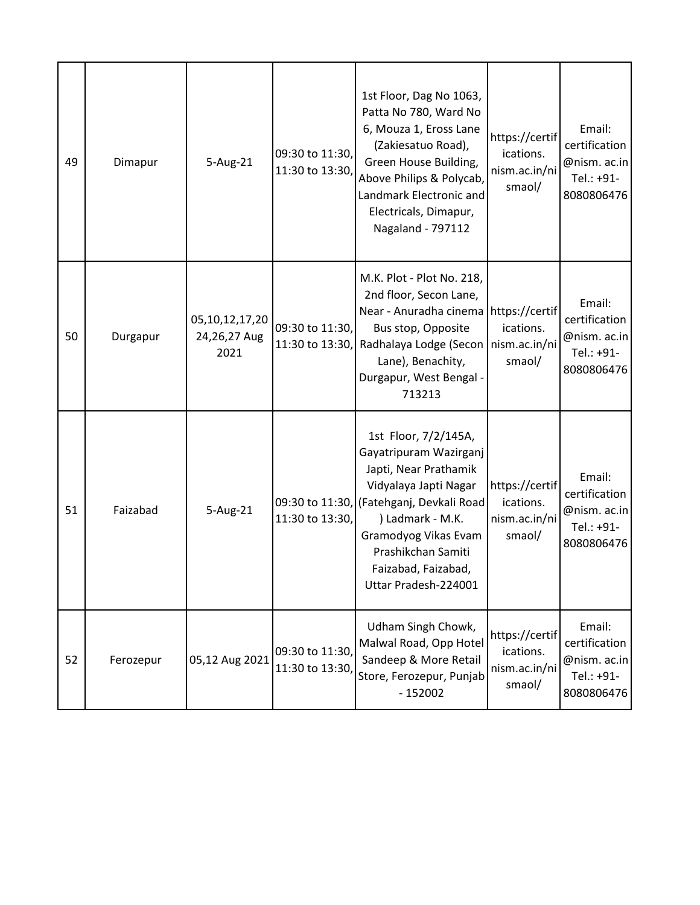| 49 | Dimapur   | 5-Aug-21                               | 09:30 to 11:30,<br>11:30 to 13:30, | 1st Floor, Dag No 1063,<br>Patta No 780, Ward No<br>6, Mouza 1, Eross Lane<br>(Zakiesatuo Road),<br>Green House Building,<br>Above Philips & Polycab,<br>Landmark Electronic and<br>Electricals, Dimapur,<br>Nagaland - 797112                                | https://certif<br>ications.<br>nism.ac.in/ni<br>smaol/ | Email:<br>certification<br>@nism. ac.in<br>Tel.: +91-<br>8080806476 |
|----|-----------|----------------------------------------|------------------------------------|---------------------------------------------------------------------------------------------------------------------------------------------------------------------------------------------------------------------------------------------------------------|--------------------------------------------------------|---------------------------------------------------------------------|
| 50 | Durgapur  | 05,10,12,17,20<br>24,26,27 Aug<br>2021 | 09:30 to 11:30,<br>11:30 to 13:30, | M.K. Plot - Plot No. 218,<br>2nd floor, Secon Lane,<br>Near - Anuradha cinema https://certif<br>Bus stop, Opposite<br>Radhalaya Lodge (Secon<br>Lane), Benachity,<br>Durgapur, West Bengal -<br>713213                                                        | ications.<br>nism.ac.in/ni<br>smaol/                   | Email:<br>certification<br>@nism. ac.in<br>Tel.: +91-<br>8080806476 |
| 51 | Faizabad  | 5-Aug-21                               | 11:30 to 13:30,                    | 1st Floor, 7/2/145A,<br>Gayatripuram Wazirganj<br>Japti, Near Prathamik<br>Vidyalaya Japti Nagar<br>09:30 to 11:30, (Fatehganj, Devkali Road<br>) Ladmark - M.K.<br>Gramodyog Vikas Evam<br>Prashikchan Samiti<br>Faizabad, Faizabad,<br>Uttar Pradesh-224001 | https://certif<br>ications.<br>nism.ac.in/ni<br>smaol/ | Email:<br>certification<br>@nism. ac.in<br>Tel.: +91-<br>8080806476 |
| 52 | Ferozepur | 05,12 Aug 2021                         | 09:30 to 11:30,<br>11:30 to 13:30  | Udham Singh Chowk,<br>Malwal Road, Opp Hotel<br>Sandeep & More Retail<br>Store, Ferozepur, Punjab<br>$-152002$                                                                                                                                                | https://certif<br>ications.<br>nism.ac.in/ni<br>smaol/ | Email:<br>certification<br>@nism. ac.in<br>Tel.: +91-<br>8080806476 |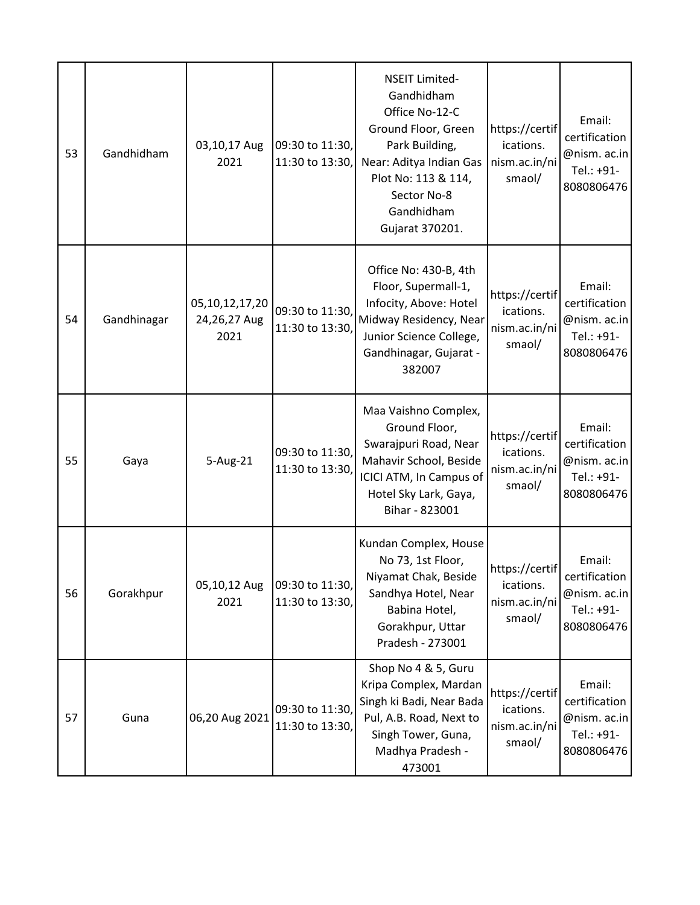| 53 | Gandhidham  | 03,10,17 Aug<br>2021                       | 09:30 to 11:30,<br>11:30 to 13:30, | <b>NSEIT Limited-</b><br>Gandhidham<br>Office No-12-C<br>Ground Floor, Green<br>Park Building,<br>Near: Aditya Indian Gas<br>Plot No: 113 & 114,<br>Sector No-8<br>Gandhidham<br>Gujarat 370201. | https://certif<br>ications.<br>nism.ac.in/ni<br>smaol/ | Email:<br>certification<br>@nism. ac.in<br>Tel.: +91-<br>8080806476 |
|----|-------------|--------------------------------------------|------------------------------------|--------------------------------------------------------------------------------------------------------------------------------------------------------------------------------------------------|--------------------------------------------------------|---------------------------------------------------------------------|
| 54 | Gandhinagar | 05, 10, 12, 17, 20<br>24,26,27 Aug<br>2021 | 09:30 to 11:30,<br>11:30 to 13:30, | Office No: 430-B, 4th<br>Floor, Supermall-1,<br>Infocity, Above: Hotel<br>Midway Residency, Near<br>Junior Science College,<br>Gandhinagar, Gujarat -<br>382007                                  | https://certif<br>ications.<br>nism.ac.in/ni<br>smaol/ | Email:<br>certification<br>@nism. ac.in<br>Tel.: +91-<br>8080806476 |
| 55 | Gaya        | 5-Aug-21                                   | 09:30 to 11:30,<br>11:30 to 13:30, | Maa Vaishno Complex,<br>Ground Floor,<br>Swarajpuri Road, Near<br>Mahavir School, Beside<br>ICICI ATM, In Campus of<br>Hotel Sky Lark, Gaya,<br>Bihar - 823001                                   | https://certif<br>ications.<br>nism.ac.in/ni<br>smaol/ | Email:<br>certification<br>@nism. ac.in<br>Tel.: +91-<br>8080806476 |
| 56 | Gorakhpur   | 05,10,12 Aug<br>2021                       | 09:30 to 11:30,<br>11:30 to 13:30, | Kundan Complex, House<br>No 73, 1st Floor,<br>Niyamat Chak, Beside<br>Sandhya Hotel, Near<br>Babina Hotel,<br>Gorakhpur, Uttar<br>Pradesh - 273001                                               | https://certif<br>ications.<br>nism.ac.in/ni<br>smaol/ | Email:<br>certification<br>@nism. ac.in<br>Tel.: +91-<br>8080806476 |
| 57 | Guna        | 06,20 Aug 2021                             | 09:30 to 11:30,<br>11:30 to 13:30, | Shop No 4 & 5, Guru<br>Kripa Complex, Mardan<br>Singh ki Badi, Near Bada<br>Pul, A.B. Road, Next to<br>Singh Tower, Guna,<br>Madhya Pradesh -<br>473001                                          | https://certif<br>ications.<br>nism.ac.in/ni<br>smaol/ | Email:<br>certification<br>@nism. ac.in<br>Tel.: +91-<br>8080806476 |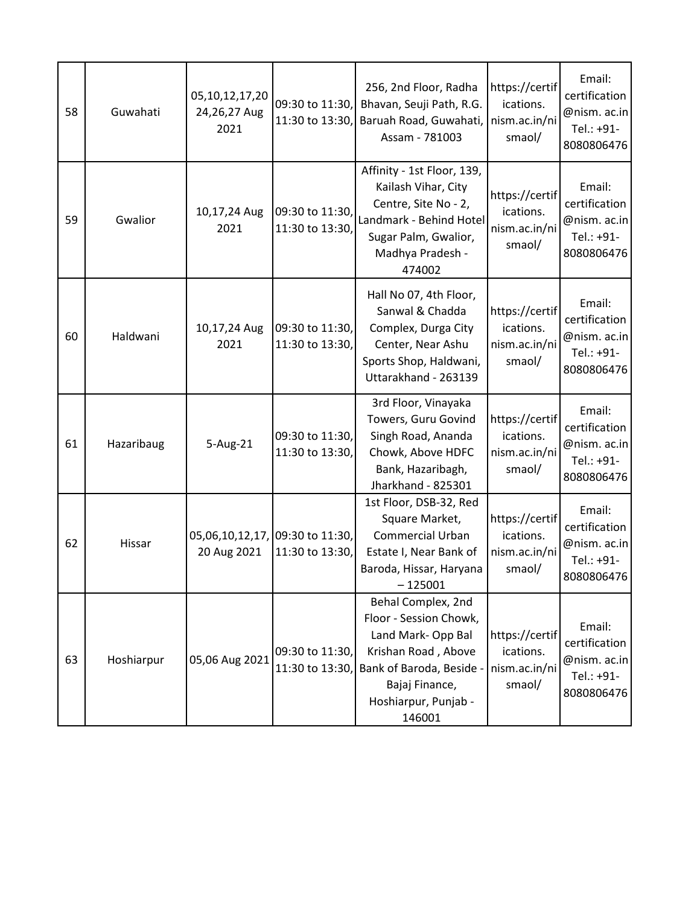| 58 | Guwahati   | 05, 10, 12, 17, 20<br>24,26,27 Aug<br>2021     | 09:30 to 11:30,<br>11:30 to 13:30, | 256, 2nd Floor, Radha<br>Bhavan, Seuji Path, R.G.<br>Baruah Road, Guwahati,<br>Assam - 781003                                                                          | https://certif<br>ications.<br>nism.ac.in/ni<br>smaol/ | Email:<br>certification<br>@nism. ac.in<br>Tel.: +91-<br>8080806476 |
|----|------------|------------------------------------------------|------------------------------------|------------------------------------------------------------------------------------------------------------------------------------------------------------------------|--------------------------------------------------------|---------------------------------------------------------------------|
| 59 | Gwalior    | 10,17,24 Aug<br>2021                           | 09:30 to 11:30,<br>11:30 to 13:30, | Affinity - 1st Floor, 139,<br>Kailash Vihar, City<br>Centre, Site No - 2,<br>Landmark - Behind Hotel<br>Sugar Palm, Gwalior,<br>Madhya Pradesh -<br>474002             | https://certif<br>ications.<br>nism.ac.in/ni<br>smaol/ | Email:<br>certification<br>@nism. ac.in<br>Tel.: +91-<br>8080806476 |
| 60 | Haldwani   | 10,17,24 Aug<br>2021                           | 09:30 to 11:30,<br>11:30 to 13:30, | Hall No 07, 4th Floor,<br>Sanwal & Chadda<br>Complex, Durga City<br>Center, Near Ashu<br>Sports Shop, Haldwani,<br>Uttarakhand - 263139                                | https://certif<br>ications.<br>nism.ac.in/ni<br>smaol/ | Email:<br>certification<br>@nism. ac.in<br>Tel.: +91-<br>8080806476 |
| 61 | Hazaribaug | 5-Aug-21                                       | 09:30 to 11:30,<br>11:30 to 13:30, | 3rd Floor, Vinayaka<br>Towers, Guru Govind<br>Singh Road, Ananda<br>Chowk, Above HDFC<br>Bank, Hazaribagh,<br>Jharkhand - 825301                                       | https://certif<br>ications.<br>nism.ac.in/ni<br>smaol/ | Email:<br>certification<br>@nism. ac.in<br>Tel.: +91-<br>8080806476 |
| 62 | Hissar     | 05,06,10,12,17, 09:30 to 11:30,<br>20 Aug 2021 | 11:30 to 13:30,                    | 1st Floor, DSB-32, Red<br>Square Market,<br><b>Commercial Urban</b><br>Estate I, Near Bank of<br>Baroda, Hissar, Haryana<br>$-125001$                                  | https://certif<br>ications.<br>nism.ac.in/ni<br>smaol/ | Email:<br>certification<br>@nism. ac.in<br>Tel.: +91-<br>8080806476 |
| 63 | Hoshiarpur | 05,06 Aug 2021                                 | 09:30 to 11:30,<br>11:30 to 13:30, | Behal Complex, 2nd<br>Floor - Session Chowk,<br>Land Mark-Opp Bal<br>Krishan Road, Above<br>Bank of Baroda, Beside<br>Bajaj Finance,<br>Hoshiarpur, Punjab -<br>146001 | https://certif<br>ications.<br>nism.ac.in/ni<br>smaol/ | Email:<br>certification<br>@nism. ac.in<br>Tel.: +91-<br>8080806476 |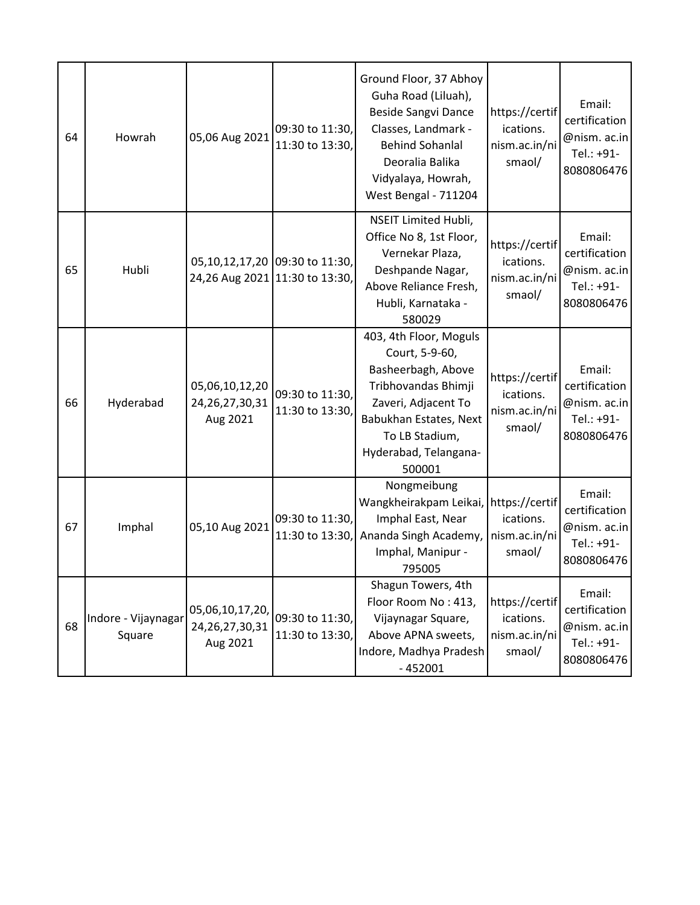| 64 | Howrah                        | 05,06 Aug 2021                                    | 09:30 to 11:30,<br>11:30 to 13:30,                               | Ground Floor, 37 Abhoy<br>Guha Road (Liluah),<br><b>Beside Sangvi Dance</b><br>Classes, Landmark -<br><b>Behind Sohanlal</b><br>Deoralia Balika<br>Vidyalaya, Howrah,<br>West Bengal - 711204 | https://certif<br>ications.<br>nism.ac.in/ni<br>smaol/ | Email:<br>certification<br>@nism. ac.in<br>Tel.: +91-<br>8080806476 |
|----|-------------------------------|---------------------------------------------------|------------------------------------------------------------------|-----------------------------------------------------------------------------------------------------------------------------------------------------------------------------------------------|--------------------------------------------------------|---------------------------------------------------------------------|
| 65 | Hubli                         |                                                   | 05,10,12,17,20 09:30 to 11:30,<br>24,26 Aug 2021 11:30 to 13:30, | <b>NSEIT Limited Hubli,</b><br>Office No 8, 1st Floor,<br>Vernekar Plaza,<br>Deshpande Nagar,<br>Above Reliance Fresh,<br>Hubli, Karnataka -<br>580029                                        | https://certif<br>ications.<br>nism.ac.in/ni<br>smaol/ | Email:<br>certification<br>@nism. ac.in<br>Tel.: +91-<br>8080806476 |
| 66 | Hyderabad                     | 05,06,10,12,20<br>24, 26, 27, 30, 31<br>Aug 2021  | 09:30 to 11:30,<br>11:30 to 13:30,                               | 403, 4th Floor, Moguls<br>Court, 5-9-60,<br>Basheerbagh, Above<br>Tribhovandas Bhimji<br>Zaveri, Adjacent To<br>Babukhan Estates, Next<br>To LB Stadium,<br>Hyderabad, Telangana-<br>500001   | https://certif<br>ications.<br>nism.ac.in/ni<br>smaol/ | Email:<br>certification<br>@nism. ac.in<br>Tel.: +91-<br>8080806476 |
| 67 | Imphal                        | 05,10 Aug 2021                                    | 09:30 to 11:30,<br>11:30 to 13:30,                               | Nongmeibung<br>Wangkheirakpam Leikai,<br>Imphal East, Near<br>Ananda Singh Academy,<br>Imphal, Manipur -<br>795005                                                                            | https://certif<br>ications.<br>nism.ac.in/ni<br>smaol/ | Email:<br>certification<br>@nism. ac.in<br>Tel.: +91-<br>8080806476 |
| 68 | Indore - Vijaynagar<br>Square | 05,06,10,17,20,<br>24, 26, 27, 30, 31<br>Aug 2021 | 09:30 to 11:30,<br>11:30 to 13:30,                               | Shagun Towers, 4th<br>Floor Room No: 413,<br>Vijaynagar Square,<br>Above APNA sweets,<br>Indore, Madhya Pradesh<br>$-452001$                                                                  | https://certif<br>ications.<br>nism.ac.in/ni<br>smaol/ | Email:<br>certification<br>@nism. ac.in<br>Tel.: +91-<br>8080806476 |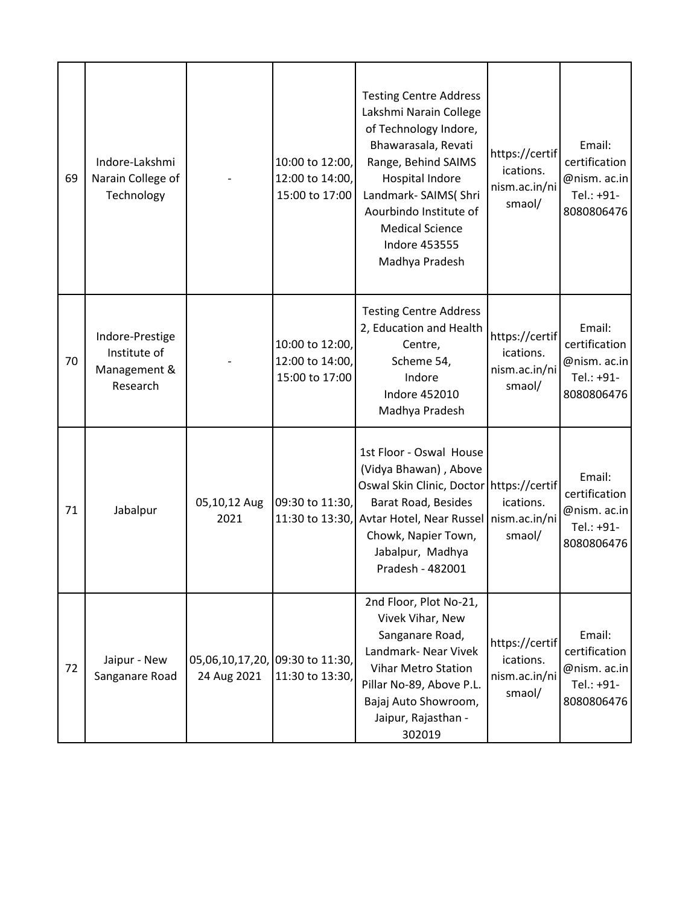| 69 | Indore-Lakshmi<br>Narain College of<br>Technology           |                      | 10:00 to 12:00,<br>12:00 to 14:00,<br>15:00 to 17:00 | <b>Testing Centre Address</b><br>Lakshmi Narain College<br>of Technology Indore,<br>Bhawarasala, Revati<br>Range, Behind SAIMS<br>Hospital Indore<br>Landmark- SAIMS(Shri<br>Aourbindo Institute of<br><b>Medical Science</b><br><b>Indore 453555</b><br>Madhya Pradesh | https://certif<br>ications.<br>nism.ac.in/ni<br>smaol/ | Email:<br>certification<br>@nism. ac.in<br>Tel.: +91-<br>8080806476 |
|----|-------------------------------------------------------------|----------------------|------------------------------------------------------|-------------------------------------------------------------------------------------------------------------------------------------------------------------------------------------------------------------------------------------------------------------------------|--------------------------------------------------------|---------------------------------------------------------------------|
| 70 | Indore-Prestige<br>Institute of<br>Management &<br>Research |                      | 10:00 to 12:00,<br>12:00 to 14:00,<br>15:00 to 17:00 | <b>Testing Centre Address</b><br>2, Education and Health<br>Centre,<br>Scheme 54,<br>Indore<br>Indore 452010<br>Madhya Pradesh                                                                                                                                          | https://certif<br>ications.<br>nism.ac.in/ni<br>smaol/ | Email:<br>certification<br>@nism. ac.in<br>Tel.: +91-<br>8080806476 |
| 71 | Jabalpur                                                    | 05,10,12 Aug<br>2021 | 09:30 to 11:30,<br>11:30 to 13:30,                   | 1st Floor - Oswal House<br>(Vidya Bhawan), Above<br>Oswal Skin Clinic, Doctor https://certif<br>Barat Road, Besides<br>Avtar Hotel, Near Russel   nism.ac.in/ni<br>Chowk, Napier Town,<br>Jabalpur, Madhya<br>Pradesh - 482001                                          | ications.<br>smaol/                                    | Email:<br>certification<br>@nism. ac.in<br>Tel.: +91-<br>8080806476 |
| 72 | Jaipur - New<br>Sanganare Road                              | 24 Aug 2021          | 05,06,10,17,20, 09:30 to 11:30,<br>11:30 to 13:30,   | 2nd Floor, Plot No-21,<br>Vivek Vihar, New<br>Sanganare Road,<br>Landmark- Near Vivek<br><b>Vihar Metro Station</b><br>Pillar No-89, Above P.L.<br>Bajaj Auto Showroom,<br>Jaipur, Rajasthan -<br>302019                                                                | https://certif<br>ications.<br>nism.ac.in/ni<br>smaol/ | Email:<br>certification<br>@nism. ac.in<br>Tel.: +91-<br>8080806476 |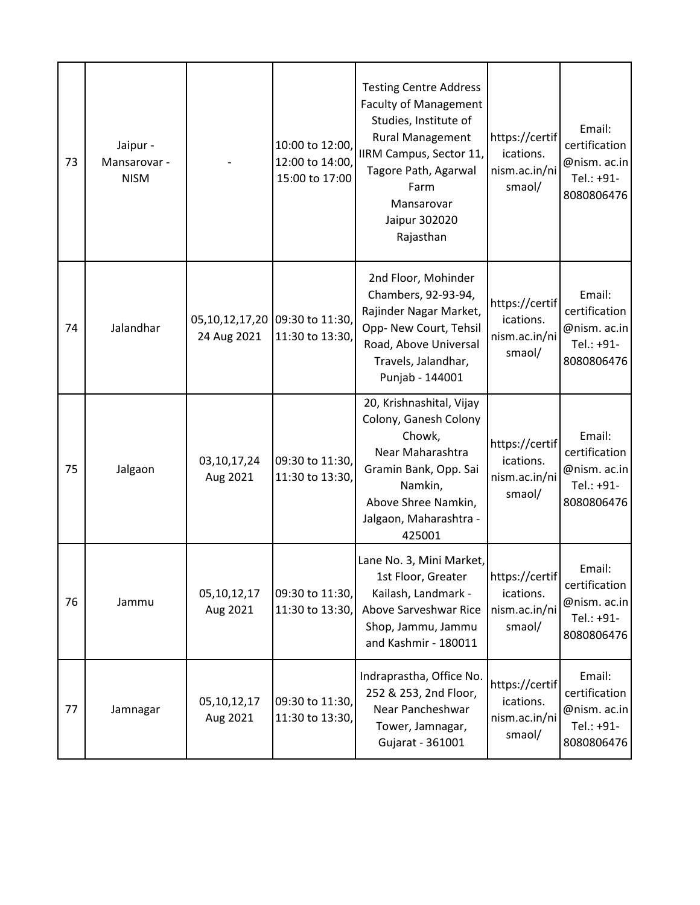| 73 | Jaipur -<br>Mansarovar -<br><b>NISM</b> |                         | 10:00 to 12:00,<br>12:00 to 14:00,<br>15:00 to 17:00 | <b>Testing Centre Address</b><br><b>Faculty of Management</b><br>Studies, Institute of<br><b>Rural Management</b><br>IIRM Campus, Sector 11,<br>Tagore Path, Agarwal<br>Farm<br>Mansarovar<br>Jaipur 302020<br>Rajasthan | https://certif<br>ications.<br>nism.ac.in/ni<br>smaol/ | Email:<br>certification<br>@nism. ac.in<br>Tel.: +91-<br>8080806476 |
|----|-----------------------------------------|-------------------------|------------------------------------------------------|--------------------------------------------------------------------------------------------------------------------------------------------------------------------------------------------------------------------------|--------------------------------------------------------|---------------------------------------------------------------------|
| 74 | Jalandhar                               | 24 Aug 2021             | 05,10,12,17,20 09:30 to 11:30,<br>11:30 to 13:30,    | 2nd Floor, Mohinder<br>Chambers, 92-93-94,<br>Rajinder Nagar Market,<br>Opp- New Court, Tehsil<br>Road, Above Universal<br>Travels, Jalandhar,<br>Punjab - 144001                                                        | https://certif<br>ications.<br>nism.ac.in/ni<br>smaol/ | Email:<br>certification<br>@nism. ac.in<br>Tel.: +91-<br>8080806476 |
| 75 | Jalgaon                                 | 03,10,17,24<br>Aug 2021 | 09:30 to 11:30,<br>11:30 to 13:30,                   | 20, Krishnashital, Vijay<br>Colony, Ganesh Colony<br>Chowk,<br>Near Maharashtra<br>Gramin Bank, Opp. Sai<br>Namkin,<br>Above Shree Namkin,<br>Jalgaon, Maharashtra -<br>425001                                           | https://certif<br>ications.<br>nism.ac.in/ni<br>smaol/ | Email:<br>certification<br>@nism. ac.in<br>Tel.: +91-<br>8080806476 |
| 76 | Jammu                                   | 05,10,12,17<br>Aug 2021 | 09:30 to 11:30,<br>11:30 to 13:30,                   | Lane No. 3, Mini Market,<br>1st Floor, Greater<br>Kailash, Landmark -<br>Above Sarveshwar Rice<br>Shop, Jammu, Jammu<br>and Kashmir - 180011                                                                             | https://certif<br>ications.<br>nism.ac.in/ni<br>smaol/ | Email:<br>certification<br>@nism. ac.in<br>Tel.: +91-<br>8080806476 |
| 77 | Jamnagar                                | 05,10,12,17<br>Aug 2021 | 09:30 to 11:30,<br>11:30 to 13:30,                   | Indraprastha, Office No.<br>252 & 253, 2nd Floor,<br>Near Pancheshwar<br>Tower, Jamnagar,<br>Gujarat - 361001                                                                                                            | https://certif<br>ications.<br>nism.ac.in/ni<br>smaol/ | Email:<br>certification<br>@nism. ac.in<br>Tel.: +91-<br>8080806476 |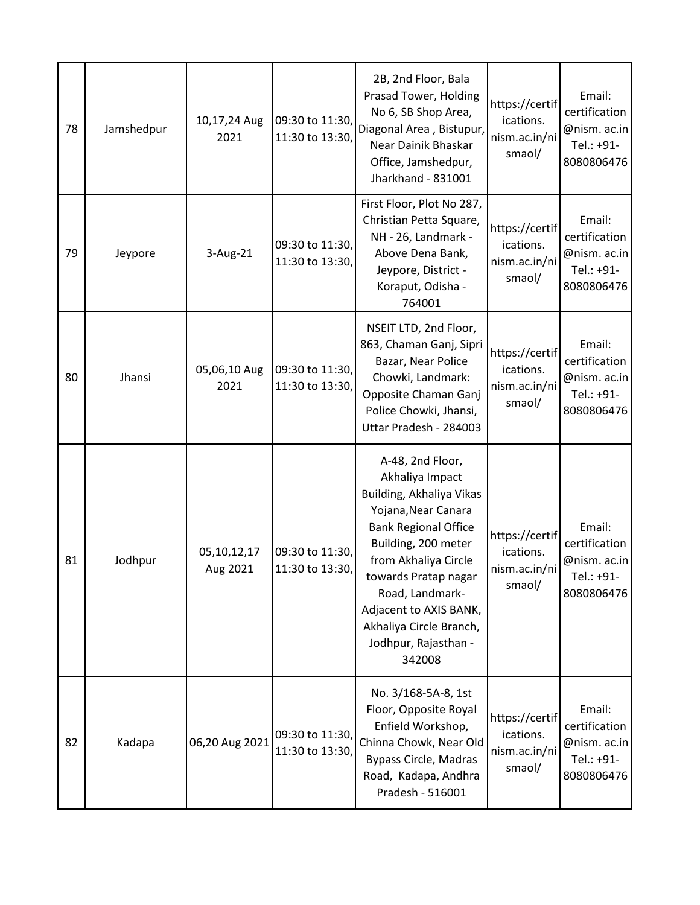| 78 | Jamshedpur | 10,17,24 Aug<br>2021    | 09:30 to 11:30,<br>11:30 to 13:30, | 2B, 2nd Floor, Bala<br>Prasad Tower, Holding<br>No 6, SB Shop Area,<br>Diagonal Area, Bistupur,<br>Near Dainik Bhaskar<br>Office, Jamshedpur,<br>Jharkhand - 831001                                                                                                                                    | https://certif<br>ications.<br>nism.ac.in/ni<br>smaol/ | Email:<br>certification<br>@nism. ac.in<br>Tel.: +91-<br>8080806476 |
|----|------------|-------------------------|------------------------------------|--------------------------------------------------------------------------------------------------------------------------------------------------------------------------------------------------------------------------------------------------------------------------------------------------------|--------------------------------------------------------|---------------------------------------------------------------------|
| 79 | Jeypore    | 3-Aug-21                | 09:30 to 11:30,<br>11:30 to 13:30, | First Floor, Plot No 287,<br>Christian Petta Square,<br>NH - 26, Landmark -<br>Above Dena Bank,<br>Jeypore, District -<br>Koraput, Odisha -<br>764001                                                                                                                                                  | https://certif<br>ications.<br>nism.ac.in/ni<br>smaol/ | Email:<br>certification<br>@nism. ac.in<br>Tel.: +91-<br>8080806476 |
| 80 | Jhansi     | 05,06,10 Aug<br>2021    | 09:30 to 11:30,<br>11:30 to 13:30, | NSEIT LTD, 2nd Floor,<br>863, Chaman Ganj, Sipri<br>Bazar, Near Police<br>Chowki, Landmark:<br>Opposite Chaman Ganj<br>Police Chowki, Jhansi,<br>Uttar Pradesh - 284003                                                                                                                                | https://certif<br>ications.<br>nism.ac.in/ni<br>smaol/ | Email:<br>certification<br>@nism. ac.in<br>Tel.: +91-<br>8080806476 |
| 81 | Jodhpur    | 05,10,12,17<br>Aug 2021 | 09:30 to 11:30,<br>11:30 to 13:30, | A-48, 2nd Floor,<br>Akhaliya Impact<br>Building, Akhaliya Vikas<br>Yojana, Near Canara<br><b>Bank Regional Office</b><br>Building, 200 meter<br>from Akhaliya Circle<br>towards Pratap nagar<br>Road, Landmark-<br>Adjacent to AXIS BANK,<br>Akhaliya Circle Branch,<br>Jodhpur, Rajasthan -<br>342008 | https://certif<br>ications.<br>nism.ac.in/ni<br>smaol/ | Email:<br>certification<br>@nism. ac.in<br>Tel.: +91-<br>8080806476 |
| 82 | Kadapa     | 06,20 Aug 2021          | 09:30 to 11:30,<br>11:30 to 13:30, | No. 3/168-5A-8, 1st<br>Floor, Opposite Royal<br>Enfield Workshop,<br>Chinna Chowk, Near Old<br><b>Bypass Circle, Madras</b><br>Road, Kadapa, Andhra<br>Pradesh - 516001                                                                                                                                | https://certif<br>ications.<br>nism.ac.in/ni<br>smaol/ | Email:<br>certification<br>@nism. ac.in<br>Tel.: +91-<br>8080806476 |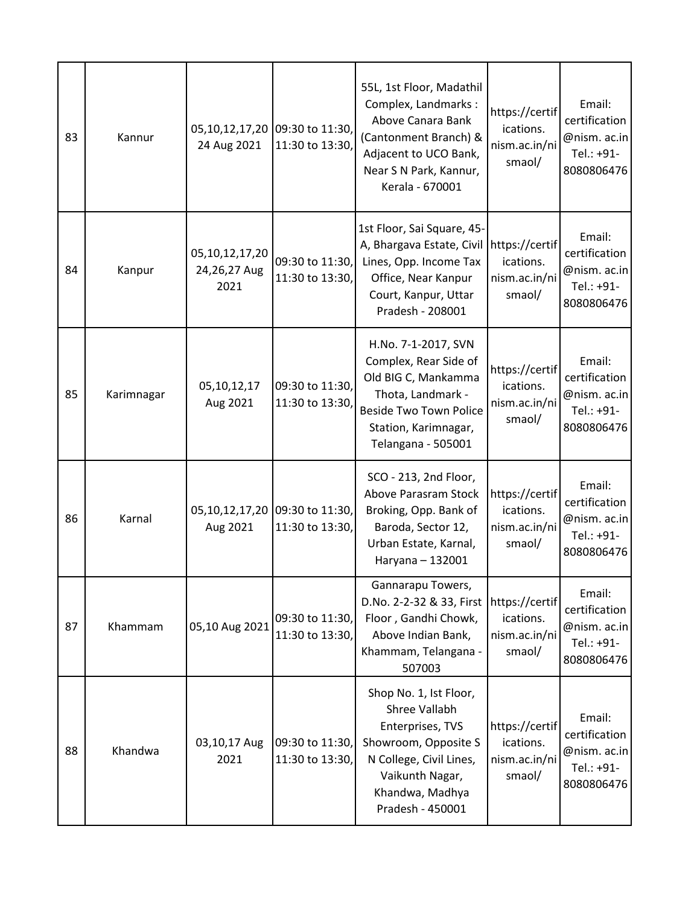| 83 | Kannur     | 24 Aug 2021                            | 05,10,12,17,20 09:30 to 11:30,<br>11:30 to 13:30, | 55L, 1st Floor, Madathil<br>Complex, Landmarks:<br>Above Canara Bank<br>(Cantonment Branch) &<br>Adjacent to UCO Bank,<br>Near S N Park, Kannur,<br>Kerala - 670001             | https://certif<br>ications.<br>nism.ac.in/ni<br>smaol/ | Email:<br>certification<br>@nism. ac.in<br>Tel.: +91-<br>8080806476 |
|----|------------|----------------------------------------|---------------------------------------------------|---------------------------------------------------------------------------------------------------------------------------------------------------------------------------------|--------------------------------------------------------|---------------------------------------------------------------------|
| 84 | Kanpur     | 05,10,12,17,20<br>24,26,27 Aug<br>2021 | 09:30 to 11:30,<br>11:30 to 13:30,                | 1st Floor, Sai Square, 45-<br>A, Bhargava Estate, Civil<br>Lines, Opp. Income Tax<br>Office, Near Kanpur<br>Court, Kanpur, Uttar<br>Pradesh - 208001                            | https://certif<br>ications.<br>nism.ac.in/ni<br>smaol/ | Email:<br>certification<br>@nism. ac.in<br>Tel.: +91-<br>8080806476 |
| 85 | Karimnagar | 05,10,12,17<br>Aug 2021                | 09:30 to 11:30,<br>11:30 to 13:30,                | H.No. 7-1-2017, SVN<br>Complex, Rear Side of<br>Old BIG C, Mankamma<br>Thota, Landmark -<br><b>Beside Two Town Police</b><br>Station, Karimnagar,<br>Telangana - 505001         | https://certif<br>ications.<br>nism.ac.in/ni<br>smaol/ | Email:<br>certification<br>@nism. ac.in<br>Tel.: +91-<br>8080806476 |
| 86 | Karnal     | 05,10,12,17,20<br>Aug 2021             | 09:30 to 11:30,<br>11:30 to 13:30,                | SCO - 213, 2nd Floor,<br>Above Parasram Stock<br>Broking, Opp. Bank of<br>Baroda, Sector 12,<br>Urban Estate, Karnal,<br>Haryana - 132001                                       | https://certif<br>ications.<br>nism.ac.in/ni<br>smaol/ | Email:<br>certification<br>@nism. ac.in<br>Tel.: +91-<br>8080806476 |
| 87 | Khammam    | 05,10 Aug 2021                         | 09:30 to 11:30,<br>11:30 to 13:30,                | Gannarapu Towers,<br>D.No. 2-2-32 & 33, First<br>Floor, Gandhi Chowk,<br>Above Indian Bank,<br>Khammam, Telangana -<br>507003                                                   | https://certif<br>ications.<br>nism.ac.in/ni<br>smaol/ | Email:<br>certification<br>@nism. ac.in<br>Tel.: +91-<br>8080806476 |
| 88 | Khandwa    | 03,10,17 Aug<br>2021                   | 09:30 to 11:30,<br>11:30 to 13:30,                | Shop No. 1, Ist Floor,<br><b>Shree Vallabh</b><br>Enterprises, TVS<br>Showroom, Opposite S<br>N College, Civil Lines,<br>Vaikunth Nagar,<br>Khandwa, Madhya<br>Pradesh - 450001 | https://certif<br>ications.<br>nism.ac.in/ni<br>smaol/ | Email:<br>certification<br>@nism. ac.in<br>Tel.: +91-<br>8080806476 |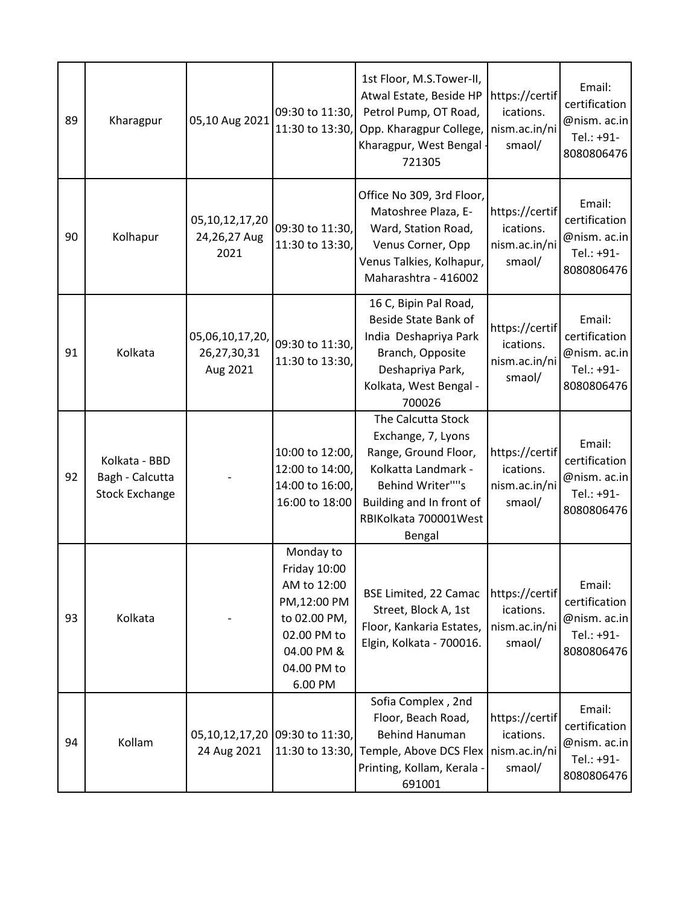| 89 | Kharagpur                                                 | 05,10 Aug 2021                             | 09:30 to 11:30,<br>11:30 to 13:30,                                                                                             | 1st Floor, M.S.Tower-II,<br>Atwal Estate, Beside HP<br>Petrol Pump, OT Road,<br>Opp. Kharagpur College,<br>Kharagpur, West Bengal<br>721305                                | https://certif<br>ications.<br>nism.ac.in/ni<br>smaol/ | Email:<br>certification<br>@nism. ac.in<br>Tel.: +91-<br>8080806476 |
|----|-----------------------------------------------------------|--------------------------------------------|--------------------------------------------------------------------------------------------------------------------------------|----------------------------------------------------------------------------------------------------------------------------------------------------------------------------|--------------------------------------------------------|---------------------------------------------------------------------|
| 90 | Kolhapur                                                  | 05, 10, 12, 17, 20<br>24,26,27 Aug<br>2021 | 09:30 to 11:30,<br>11:30 to 13:30,                                                                                             | Office No 309, 3rd Floor,<br>Matoshree Plaza, E-<br>Ward, Station Road,<br>Venus Corner, Opp<br>Venus Talkies, Kolhapur,<br>Maharashtra - 416002                           | https://certif<br>ications.<br>nism.ac.in/ni<br>smaol/ | Email:<br>certification<br>@nism. ac.in<br>Tel.: +91-<br>8080806476 |
| 91 | Kolkata                                                   | 05,06,10,17,20,<br>26,27,30,31<br>Aug 2021 | 09:30 to 11:30,<br>11:30 to 13:30,                                                                                             | 16 C, Bipin Pal Road,<br>Beside State Bank of<br>India Deshapriya Park<br>Branch, Opposite<br>Deshapriya Park,<br>Kolkata, West Bengal -<br>700026                         | https://certif<br>ications.<br>nism.ac.in/ni<br>smaol/ | Email:<br>certification<br>@nism. ac.in<br>Tel.: +91-<br>8080806476 |
| 92 | Kolkata - BBD<br>Bagh - Calcutta<br><b>Stock Exchange</b> |                                            | 10:00 to 12:00,<br>12:00 to 14:00,<br>14:00 to 16:00,<br>16:00 to 18:00                                                        | The Calcutta Stock<br>Exchange, 7, Lyons<br>Range, Ground Floor,<br>Kolkatta Landmark -<br>Behind Writer""s<br>Building and In front of<br>RBIKolkata 700001West<br>Bengal | https://certif<br>ications.<br>nism.ac.in/ni<br>smaol/ | Email:<br>certification<br>@nism. ac.in<br>Tel.: +91-<br>8080806476 |
| 93 | Kolkata                                                   |                                            | Monday to<br>Friday 10:00<br>AM to 12:00<br>PM,12:00 PM<br>to 02.00 PM,<br>02.00 PM to<br>04.00 PM &<br>04.00 PM to<br>6.00 PM | <b>BSE Limited, 22 Camac</b><br>Street, Block A, 1st<br>Floor, Kankaria Estates,<br>Elgin, Kolkata - 700016.                                                               | https://certif<br>ications.<br>nism.ac.in/ni<br>smaol/ | Email:<br>certification<br>@nism. ac.in<br>Tel.: +91-<br>8080806476 |
| 94 | Kollam                                                    | 24 Aug 2021                                | 05,10,12,17,20 09:30 to 11:30,<br>11:30 to 13:30,                                                                              | Sofia Complex, 2nd<br>Floor, Beach Road,<br><b>Behind Hanuman</b><br>Temple, Above DCS Flex<br>Printing, Kollam, Kerala -<br>691001                                        | https://certif<br>ications.<br>nism.ac.in/ni<br>smaol/ | Email:<br>certification<br>@nism. ac.in<br>Tel.: +91-<br>8080806476 |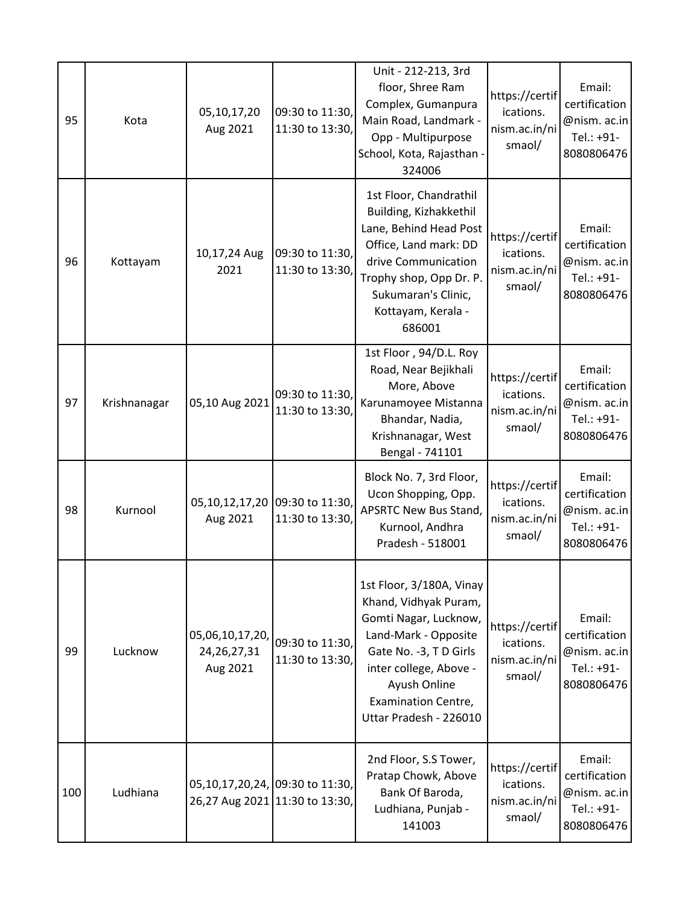| 95  | Kota         | 05,10,17,20<br>Aug 2021                       | 09:30 to 11:30,<br>11:30 to 13:30,                | Unit - 212-213, 3rd<br>floor, Shree Ram<br>Complex, Gumanpura<br>Main Road, Landmark -<br>Opp - Multipurpose<br>School, Kota, Rajasthan -<br>324006                                                                    | https://certif<br>ications.<br>nism.ac.in/ni<br>smaol/ | Email:<br>certification<br>@nism. ac.in<br>Tel.: +91-<br>8080806476 |
|-----|--------------|-----------------------------------------------|---------------------------------------------------|------------------------------------------------------------------------------------------------------------------------------------------------------------------------------------------------------------------------|--------------------------------------------------------|---------------------------------------------------------------------|
| 96  | Kottayam     | 10,17,24 Aug<br>2021                          | 09:30 to 11:30,<br>11:30 to 13:30,                | 1st Floor, Chandrathil<br>Building, Kizhakkethil<br>Lane, Behind Head Post<br>Office, Land mark: DD<br>drive Communication<br>Trophy shop, Opp Dr. P.<br>Sukumaran's Clinic,<br>Kottayam, Kerala -<br>686001           | https://certif<br>ications.<br>nism.ac.in/ni<br>smaol/ | Email:<br>certification<br>@nism. ac.in<br>Tel.: +91-<br>8080806476 |
| 97  | Krishnanagar | 05,10 Aug 2021                                | 09:30 to 11:30,<br>11:30 to 13:30,                | 1st Floor, 94/D.L. Roy<br>Road, Near Bejikhali<br>More, Above<br>Karunamoyee Mistanna<br>Bhandar, Nadia,<br>Krishnanagar, West<br>Bengal - 741101                                                                      | https://certif<br>ications.<br>nism.ac.in/ni<br>smaol/ | Email:<br>certification<br>@nism. ac.in<br>Tel.: +91-<br>8080806476 |
| 98  | Kurnool      | Aug 2021                                      | 05,10,12,17,20 09:30 to 11:30,<br>11:30 to 13:30, | Block No. 7, 3rd Floor,<br>Ucon Shopping, Opp.<br><b>APSRTC New Bus Stand,</b><br>Kurnool, Andhra<br>Pradesh - 518001                                                                                                  | https://certif<br>ications.<br>nism.ac.in/ni<br>smaol/ | Email:<br>certification<br>@nism. ac.in<br>Tel.: +91-<br>8080806476 |
| 99  | Lucknow      | 05,06,10,17,20,<br>24, 26, 27, 31<br>Aug 2021 | 09:30 to 11:30,<br>11:30 to 13:30,                | 1st Floor, 3/180A, Vinay<br>Khand, Vidhyak Puram,<br>Gomti Nagar, Lucknow,<br>Land-Mark - Opposite<br>Gate No. -3, TD Girls<br>inter college, Above -<br>Ayush Online<br>Examination Centre,<br>Uttar Pradesh - 226010 | https://certif<br>ications.<br>nism.ac.in/ni<br>smaol/ | Email:<br>certification<br>@nism. ac.in<br>Tel.: +91-<br>8080806476 |
| 100 | Ludhiana     | 05,10,17,20,24, 09:30 to 11:30,               | 26,27 Aug 2021 11:30 to 13:30,                    | 2nd Floor, S.S Tower,<br>Pratap Chowk, Above<br>Bank Of Baroda,<br>Ludhiana, Punjab -<br>141003                                                                                                                        | https://certif<br>ications.<br>nism.ac.in/ni<br>smaol/ | Email:<br>certification<br>@nism. ac.in<br>Tel.: +91-<br>8080806476 |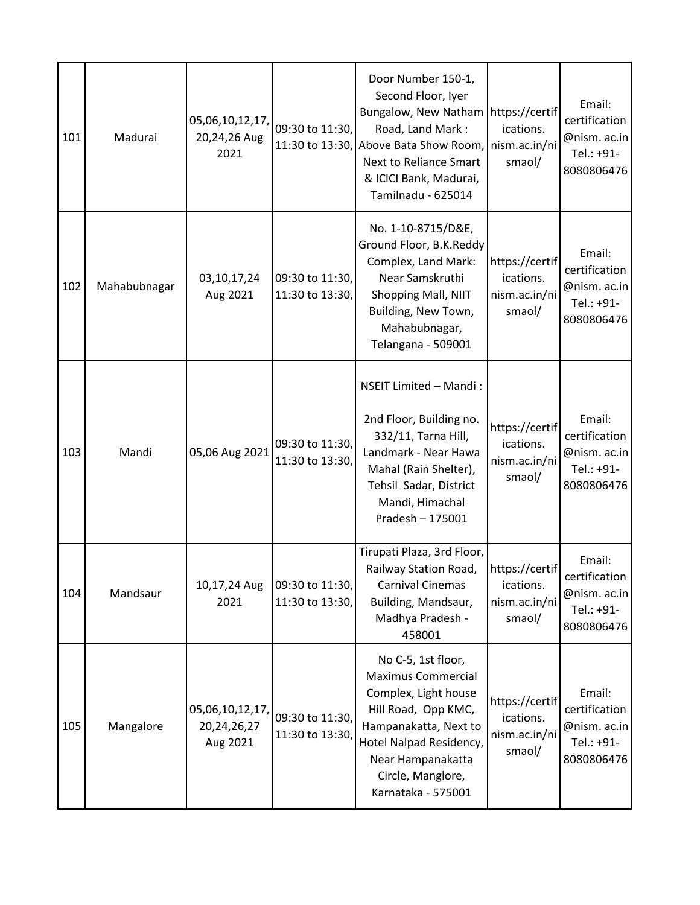| 101 | Madurai      | 05,06,10,12,17,<br>20,24,26 Aug<br>2021       | 09:30 to 11:30,<br>11:30 to 13:30, | Door Number 150-1,<br>Second Floor, Iyer<br>Bungalow, New Natham   https://certif<br>Road, Land Mark:<br>Above Bata Show Room,<br>Next to Reliance Smart<br>& ICICI Bank, Madurai,<br>Tamilnadu - 625014           | ications.<br>nism.ac.in/ni<br>smaol/                   | Email:<br>certification<br>@nism. ac.in<br>Tel.: +91-<br>8080806476 |
|-----|--------------|-----------------------------------------------|------------------------------------|--------------------------------------------------------------------------------------------------------------------------------------------------------------------------------------------------------------------|--------------------------------------------------------|---------------------------------------------------------------------|
| 102 | Mahabubnagar | 03,10,17,24<br>Aug 2021                       | 09:30 to 11:30,<br>11:30 to 13:30, | No. 1-10-8715/D&E,<br>Ground Floor, B.K.Reddy<br>Complex, Land Mark:<br>Near Samskruthi<br>Shopping Mall, NIIT<br>Building, New Town,<br>Mahabubnagar,<br>Telangana - 509001                                       | https://certif<br>ications.<br>nism.ac.in/ni<br>smaol/ | Email:<br>certification<br>@nism. ac.in<br>Tel.: +91-<br>8080806476 |
| 103 | Mandi        | 05,06 Aug 2021                                | 09:30 to 11:30,<br>11:30 to 13:30, | NSEIT Limited - Mandi:<br>2nd Floor, Building no.<br>332/11, Tarna Hill,<br>Landmark - Near Hawa<br>Mahal (Rain Shelter),<br>Tehsil Sadar, District<br>Mandi, Himachal<br>Pradesh - 175001                         | https://certif<br>ications.<br>nism.ac.in/ni<br>smaol/ | Email:<br>certification<br>@nism. ac.in<br>Tel.: +91-<br>8080806476 |
| 104 | Mandsaur     | 10,17,24 Aug<br>2021                          | 09:30 to 11:30,<br>11:30 to 13:30, | Tirupati Plaza, 3rd Floor,<br>Railway Station Road,<br>Carnival Cinemas<br>Building, Mandsaur,<br>Madhya Pradesh -<br>458001                                                                                       | https://certif<br>ications.<br>nism.ac.in/ni<br>smaol/ | Email:<br>certification<br>@nism. ac.in<br>Tel.: +91-<br>8080806476 |
| 105 | Mangalore    | 05,06,10,12,17,<br>20, 24, 26, 27<br>Aug 2021 | 09:30 to 11:30,<br>11:30 to 13:30, | No C-5, 1st floor,<br><b>Maximus Commercial</b><br>Complex, Light house<br>Hill Road, Opp KMC,<br>Hampanakatta, Next to<br>Hotel Nalpad Residency,<br>Near Hampanakatta<br>Circle, Manglore,<br>Karnataka - 575001 | https://certif<br>ications.<br>nism.ac.in/ni<br>smaol/ | Email:<br>certification<br>@nism. ac.in<br>Tel.: +91-<br>8080806476 |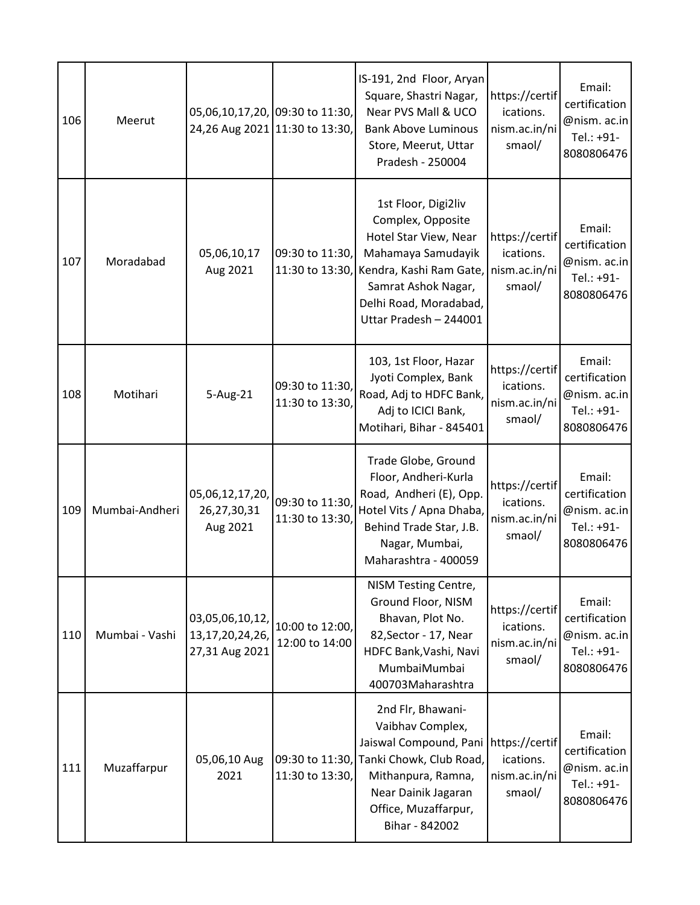| 106 | Meerut         | 05,06,10,17,20, 09:30 to 11:30,                          | 24,26 Aug 2021 11:30 to 13:30,     | IS-191, 2nd Floor, Aryan<br>Square, Shastri Nagar,<br>Near PVS Mall & UCO<br><b>Bank Above Luminous</b><br>Store, Meerut, Uttar<br>Pradesh - 250004                                           | https://certif<br>ications.<br>nism.ac.in/ni<br>smaol/ | Email:<br>certification<br>@nism. ac.in<br>Tel.: +91-<br>8080806476 |
|-----|----------------|----------------------------------------------------------|------------------------------------|-----------------------------------------------------------------------------------------------------------------------------------------------------------------------------------------------|--------------------------------------------------------|---------------------------------------------------------------------|
| 107 | Moradabad      | 05,06,10,17<br>Aug 2021                                  | 09:30 to 11:30,<br>11:30 to 13:30, | 1st Floor, Digi2liv<br>Complex, Opposite<br>Hotel Star View, Near<br>Mahamaya Samudayik<br>Kendra, Kashi Ram Gate,<br>Samrat Ashok Nagar,<br>Delhi Road, Moradabad,<br>Uttar Pradesh - 244001 | https://certif<br>ications.<br>nism.ac.in/ni<br>smaol/ | Email:<br>certification<br>@nism. ac.in<br>Tel.: +91-<br>8080806476 |
| 108 | Motihari       | 5-Aug-21                                                 | 09:30 to 11:30,<br>11:30 to 13:30, | 103, 1st Floor, Hazar<br>Jyoti Complex, Bank<br>Road, Adj to HDFC Bank,<br>Adj to ICICI Bank,<br>Motihari, Bihar - 845401                                                                     | https://certif<br>ications.<br>nism.ac.in/ni<br>smaol/ | Email:<br>certification<br>@nism. ac.in<br>Tel.: +91-<br>8080806476 |
| 109 | Mumbai-Andheri | 05,06,12,17,20,<br>26,27,30,31<br>Aug 2021               | 09:30 to 11:30,<br>11:30 to 13:30, | Trade Globe, Ground<br>Floor, Andheri-Kurla<br>Road, Andheri (E), Opp.<br>Hotel Vits / Apna Dhaba,<br>Behind Trade Star, J.B.<br>Nagar, Mumbai,<br>Maharashtra - 400059                       | https://certif<br>ications.<br>nism.ac.in/ni<br>smaol/ | Email:<br>certification<br>@nism. ac.in<br>Tel.: +91-<br>8080806476 |
| 110 | Mumbai - Vashi | 03,05,06,10,12,<br>13, 17, 20, 24, 26,<br>27,31 Aug 2021 | 10:00 to 12:00,<br>12:00 to 14:00  | NISM Testing Centre,<br>Ground Floor, NISM<br>Bhavan, Plot No.<br>82, Sector - 17, Near<br>HDFC Bank, Vashi, Navi<br>MumbaiMumbai<br>400703Maharashtra                                        | https://certif<br>ications.<br>nism.ac.in/ni<br>smaol/ | Email:<br>certification<br>@nism. ac.in<br>Tel.: +91-<br>8080806476 |
| 111 | Muzaffarpur    | 05,06,10 Aug<br>2021                                     | 09:30 to 11:30,<br>11:30 to 13:30, | 2nd Flr, Bhawani-<br>Vaibhav Complex,<br>Jaiswal Compound, Pani<br>Tanki Chowk, Club Road,<br>Mithanpura, Ramna,<br>Near Dainik Jagaran<br>Office, Muzaffarpur,<br>Bihar - 842002             | https://certif<br>ications.<br>nism.ac.in/ni<br>smaol/ | Email:<br>certification<br>@nism. ac.in<br>Tel.: +91-<br>8080806476 |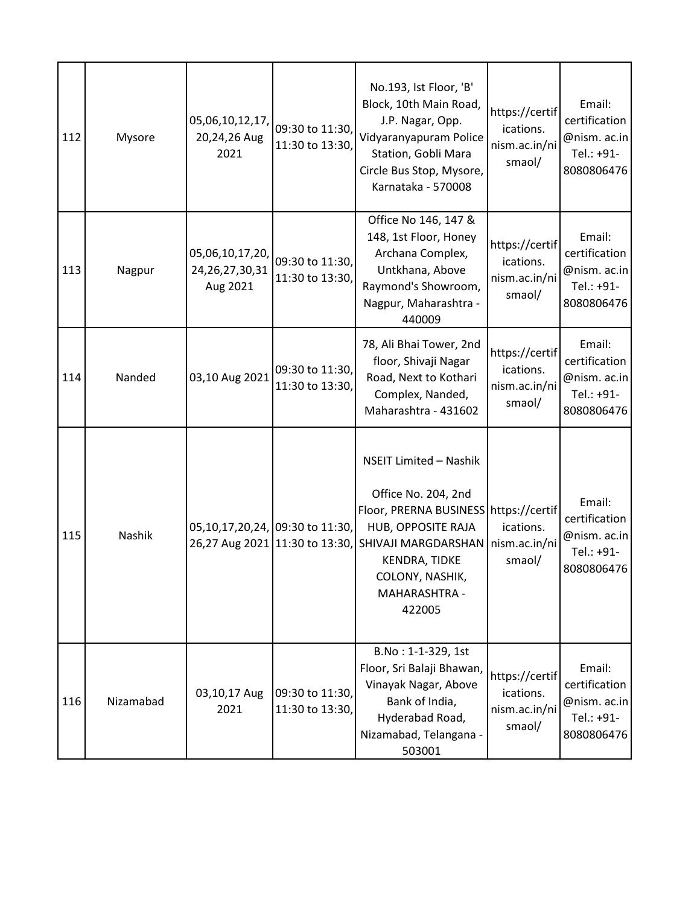| 112 | Mysore    | 05,06,10,12,17,<br>20,24,26 Aug<br>2021           | 09:30 to 11:30,<br>11:30 to 13:30, | No.193, Ist Floor, 'B'<br>Block, 10th Main Road,<br>J.P. Nagar, Opp.<br>Vidyaranyapuram Police<br>Station, Gobli Mara<br>Circle Bus Stop, Mysore,<br>Karnataka - 570008                                                          | https://certif<br>ications.<br>nism.ac.in/ni<br>smaol/ | Email:<br>certification<br>@nism. ac.in<br>Tel.: +91-<br>8080806476 |
|-----|-----------|---------------------------------------------------|------------------------------------|----------------------------------------------------------------------------------------------------------------------------------------------------------------------------------------------------------------------------------|--------------------------------------------------------|---------------------------------------------------------------------|
| 113 | Nagpur    | 05,06,10,17,20,<br>24, 26, 27, 30, 31<br>Aug 2021 | 09:30 to 11:30,<br>11:30 to 13:30, | Office No 146, 147 &<br>148, 1st Floor, Honey<br>Archana Complex,<br>Untkhana, Above<br>Raymond's Showroom,<br>Nagpur, Maharashtra -<br>440009                                                                                   | https://certif<br>ications.<br>nism.ac.in/ni<br>smaol/ | Email:<br>certification<br>@nism. ac.in<br>Tel.: +91-<br>8080806476 |
| 114 | Nanded    | 03,10 Aug 2021                                    | 09:30 to 11:30,<br>11:30 to 13:30, | 78, Ali Bhai Tower, 2nd<br>floor, Shivaji Nagar<br>Road, Next to Kothari<br>Complex, Nanded,<br>Maharashtra - 431602                                                                                                             | https://certif<br>ications.<br>nism.ac.in/ni<br>smaol/ | Email:<br>certification<br>@nism. ac.in<br>Tel.: +91-<br>8080806476 |
| 115 | Nashik    | 05,10,17,20,24, 09:30 to 11:30,                   |                                    | <b>NSEIT Limited - Nashik</b><br>Office No. 204, 2nd<br>Floor, PRERNA BUSINESS<br>HUB, OPPOSITE RAJA<br>26,27 Aug 2021 11:30 to 13:30, SHIVAJI MARGDARSHAN<br><b>KENDRA, TIDKE</b><br>COLONY, NASHIK,<br>MAHARASHTRA -<br>422005 | https://certif<br>ications.<br>nism.ac.in/ni<br>smaol/ | Email:<br>certification<br>@nism. ac.in<br>Tel.: +91-<br>8080806476 |
| 116 | Nizamabad | 03,10,17 Aug<br>2021                              | 09:30 to 11:30,<br>11:30 to 13:30, | B.No: 1-1-329, 1st<br>Floor, Sri Balaji Bhawan,<br>Vinayak Nagar, Above<br>Bank of India,<br>Hyderabad Road,<br>Nizamabad, Telangana -<br>503001                                                                                 | https://certif<br>ications.<br>nism.ac.in/ni<br>smaol/ | Email:<br>certification<br>@nism. ac.in<br>Tel.: +91-<br>8080806476 |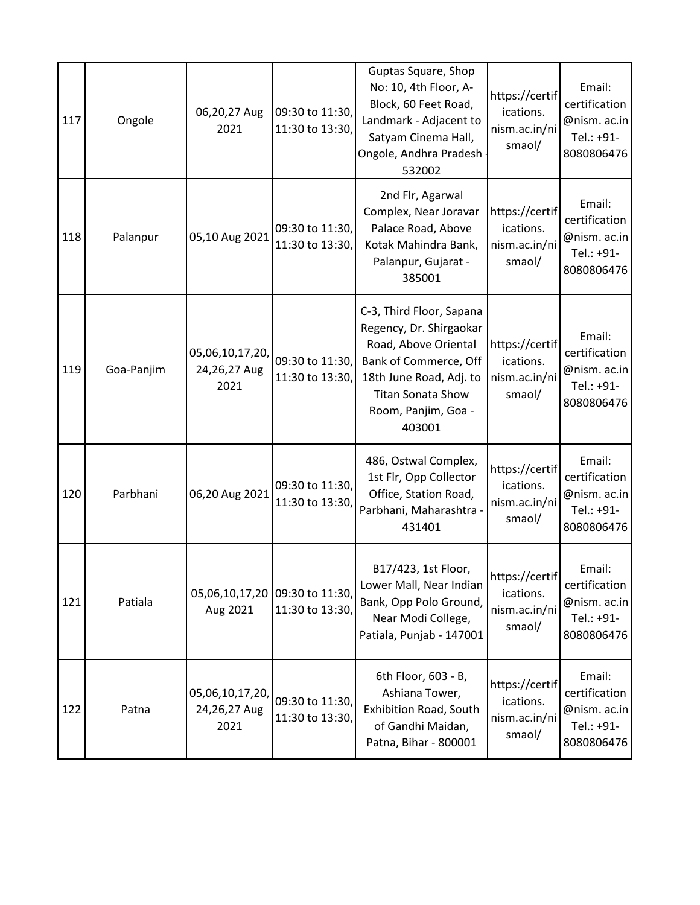| 117 | Ongole     | 06,20,27 Aug<br>2021                    | 09:30 to 11:30,<br>11:30 to 13:30,                | Guptas Square, Shop<br>No: 10, 4th Floor, A-<br>Block, 60 Feet Road,<br>Landmark - Adjacent to<br>Satyam Cinema Hall,<br>Ongole, Andhra Pradesh<br>532002                                    | https://certif<br>ications.<br>nism.ac.in/ni<br>smaol/ | Email:<br>certification<br>@nism. ac.in<br>Tel.: +91-<br>8080806476 |
|-----|------------|-----------------------------------------|---------------------------------------------------|----------------------------------------------------------------------------------------------------------------------------------------------------------------------------------------------|--------------------------------------------------------|---------------------------------------------------------------------|
| 118 | Palanpur   | 05,10 Aug 2021                          | 09:30 to 11:30,<br>11:30 to 13:30,                | 2nd Flr, Agarwal<br>Complex, Near Joravar<br>Palace Road, Above<br>Kotak Mahindra Bank,<br>Palanpur, Gujarat -<br>385001                                                                     | https://certif<br>ications.<br>nism.ac.in/ni<br>smaol/ | Email:<br>certification<br>@nism. ac.in<br>Tel.: +91-<br>8080806476 |
| 119 | Goa-Panjim | 05,06,10,17,20,<br>24,26,27 Aug<br>2021 | 09:30 to 11:30,<br>11:30 to 13:30,                | C-3, Third Floor, Sapana<br>Regency, Dr. Shirgaokar<br>Road, Above Oriental<br>Bank of Commerce, Off<br>18th June Road, Adj. to<br><b>Titan Sonata Show</b><br>Room, Panjim, Goa -<br>403001 | https://certif<br>ications.<br>nism.ac.in/ni<br>smaol/ | Email:<br>certification<br>@nism. ac.in<br>Tel.: +91-<br>8080806476 |
| 120 | Parbhani   | 06,20 Aug 2021                          | 09:30 to 11:30,<br>11:30 to 13:30,                | 486, Ostwal Complex,<br>1st Flr, Opp Collector<br>Office, Station Road,<br>Parbhani, Maharashtra -<br>431401                                                                                 | https://certif<br>ications.<br>nism.ac.in/ni<br>smaol/ | Email:<br>certification<br>@nism. ac.in<br>Tel.: +91-<br>8080806476 |
| 121 | Patiala    | Aug 2021                                | 05,06,10,17,20 09:30 to 11:30,<br>11:30 to 13:30, | B17/423, 1st Floor,<br>Lower Mall, Near Indian<br>Bank, Opp Polo Ground,<br>Near Modi College,<br>Patiala, Punjab - 147001                                                                   | https://certif<br>ications.<br>nism.ac.in/ni<br>smaol/ | Email:<br>certification<br>@nism. ac.in<br>Tel.: +91-<br>8080806476 |
| 122 | Patna      | 05,06,10,17,20,<br>24,26,27 Aug<br>2021 | 09:30 to 11:30,<br>11:30 to 13:30,                | 6th Floor, 603 - B,<br>Ashiana Tower,<br>Exhibition Road, South<br>of Gandhi Maidan,<br>Patna, Bihar - 800001                                                                                | https://certif<br>ications.<br>nism.ac.in/ni<br>smaol/ | Email:<br>certification<br>@nism. ac.in<br>Tel.: +91-<br>8080806476 |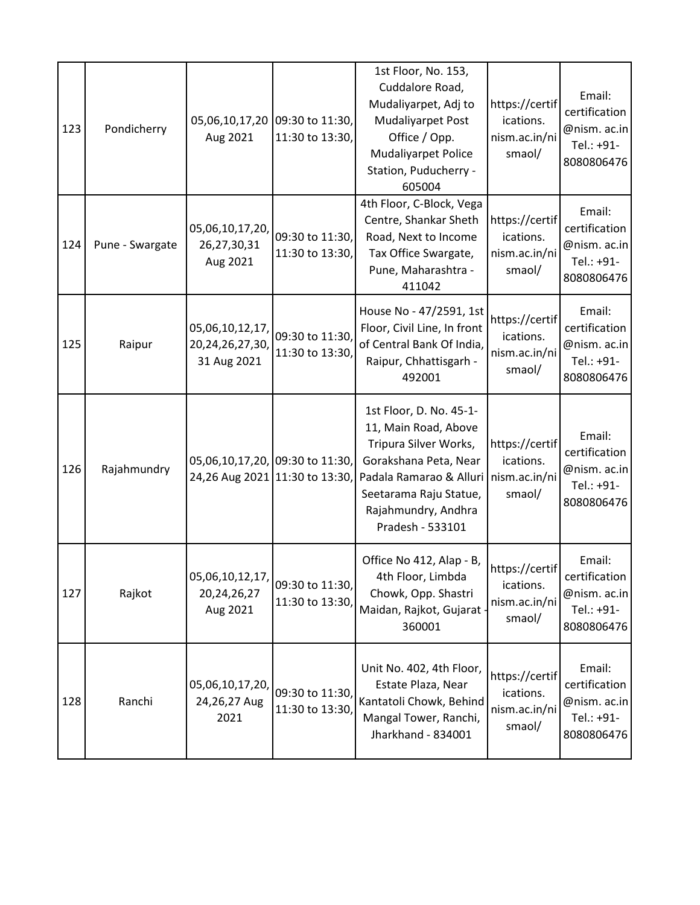| 123 | Pondicherry     | Aug 2021                                                          | 05,06,10,17,20 09:30 to 11:30,<br>11:30 to 13:30, | 1st Floor, No. 153,<br>Cuddalore Road,<br>Mudaliyarpet, Adj to<br>Mudaliyarpet Post<br>Office / Opp.<br><b>Mudaliyarpet Police</b><br>Station, Puducherry -<br>605004                             | https://certif<br>ications.<br>nism.ac.in/ni<br>smaol/ | Email:<br>certification<br>@nism. ac.in<br>Tel.: +91-<br>8080806476 |
|-----|-----------------|-------------------------------------------------------------------|---------------------------------------------------|---------------------------------------------------------------------------------------------------------------------------------------------------------------------------------------------------|--------------------------------------------------------|---------------------------------------------------------------------|
| 124 | Pune - Swargate | 05,06,10,17,20,<br>26,27,30,31<br>Aug 2021                        | 09:30 to 11:30,<br>11:30 to 13:30,                | 4th Floor, C-Block, Vega<br>Centre, Shankar Sheth<br>Road, Next to Income<br>Tax Office Swargate,<br>Pune, Maharashtra -<br>411042                                                                | https://certif<br>ications.<br>nism.ac.in/ni<br>smaol/ | Email:<br>certification<br>@nism. ac.in<br>Tel.: +91-<br>8080806476 |
| 125 | Raipur          | 05,06,10,12,17,<br>20, 24, 26, 27, 30,<br>31 Aug 2021             | 09:30 to 11:30,<br>11:30 to 13:30                 | House No - 47/2591, 1st<br>Floor, Civil Line, In front<br>of Central Bank Of India,<br>Raipur, Chhattisgarh -<br>492001                                                                           | https://certif<br>ications.<br>nism.ac.in/ni<br>smaol/ | Email:<br>certification<br>@nism. ac.in<br>Tel.: +91-<br>8080806476 |
| 126 | Rajahmundry     | 05,06,10,17,20, 09:30 to 11:30,<br>24,26 Aug 2021 11:30 to 13:30, |                                                   | 1st Floor, D. No. 45-1-<br>11, Main Road, Above<br>Tripura Silver Works,<br>Gorakshana Peta, Near<br>Padala Ramarao & Alluri<br>Seetarama Raju Statue,<br>Rajahmundry, Andhra<br>Pradesh - 533101 | https://certif<br>ications.<br>nism.ac.in/ni<br>smaol/ | Email:<br>certification<br>@nism. ac.in<br>Tel.: +91-<br>8080806476 |
| 127 | Rajkot          | 05,06,10,12,17,<br>20, 24, 26, 27<br>Aug 2021                     | 09:30 to 11:30,<br>11:30 to 13:30,                | Office No 412, Alap - B,<br>4th Floor, Limbda<br>Chowk, Opp. Shastri<br>Maidan, Rajkot, Gujarat -<br>360001                                                                                       | https://certif<br>ications.<br>nism.ac.in/ni<br>smaol/ | Email:<br>certification<br>@nism. ac.in<br>Tel.: +91-<br>8080806476 |
| 128 | Ranchi          | 05,06,10,17,20,<br>24,26,27 Aug<br>2021                           | 09:30 to 11:30,<br>11:30 to 13:30,                | Unit No. 402, 4th Floor,<br>Estate Plaza, Near<br>Kantatoli Chowk, Behind<br>Mangal Tower, Ranchi,<br>Jharkhand - 834001                                                                          | https://certif<br>ications.<br>nism.ac.in/ni<br>smaol/ | Email:<br>certification<br>@nism. ac.in<br>Tel.: +91-<br>8080806476 |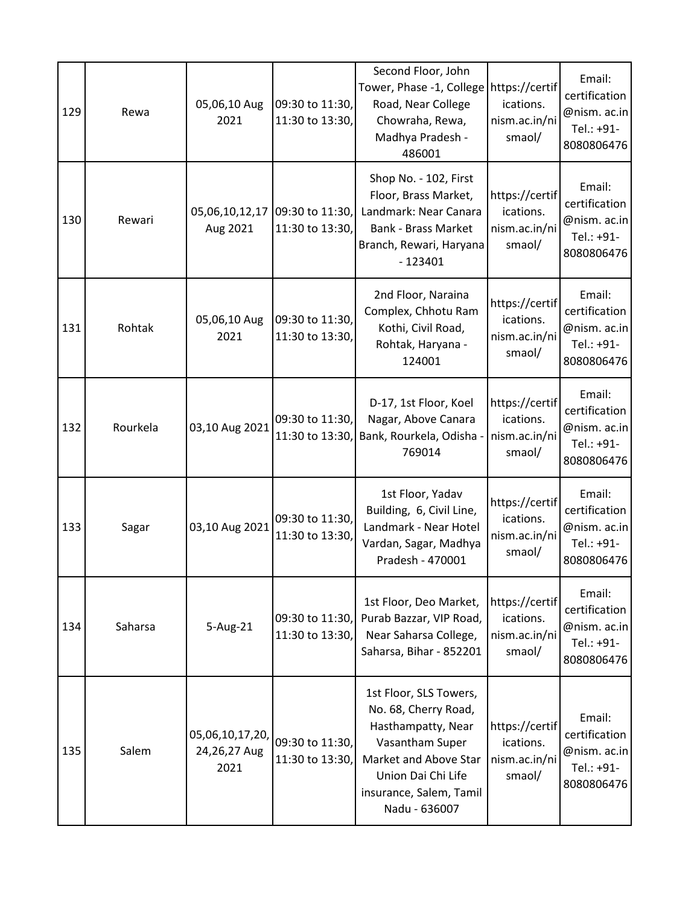| 129 | Rewa     | 05,06,10 Aug<br>2021                    | 09:30 to 11:30,<br>11:30 to 13:30,                | Second Floor, John<br>Tower, Phase -1, College<br>Road, Near College<br>Chowraha, Rewa,<br>Madhya Pradesh -<br>486001                                                              | https://certif<br>ications.<br>nism.ac.in/ni<br>smaol/ | Email:<br>certification<br>@nism. ac.in<br>Tel.: +91-<br>8080806476 |
|-----|----------|-----------------------------------------|---------------------------------------------------|------------------------------------------------------------------------------------------------------------------------------------------------------------------------------------|--------------------------------------------------------|---------------------------------------------------------------------|
| 130 | Rewari   | Aug 2021                                | 05,06,10,12,17 09:30 to 11:30,<br>11:30 to 13:30, | Shop No. - 102, First<br>Floor, Brass Market,<br>Landmark: Near Canara<br><b>Bank - Brass Market</b><br>Branch, Rewari, Haryana<br>$-123401$                                       | https://certif<br>ications.<br>nism.ac.in/ni<br>smaol/ | Email:<br>certification<br>@nism. ac.in<br>Tel.: +91-<br>8080806476 |
| 131 | Rohtak   | 05,06,10 Aug<br>2021                    | 09:30 to 11:30,<br>11:30 to 13:30,                | 2nd Floor, Naraina<br>Complex, Chhotu Ram<br>Kothi, Civil Road,<br>Rohtak, Haryana -<br>124001                                                                                     | https://certif<br>ications.<br>nism.ac.in/ni<br>smaol/ | Email:<br>certification<br>@nism. ac.in<br>Tel.: +91-<br>8080806476 |
| 132 | Rourkela | 03,10 Aug 2021                          | 09:30 to 11:30,<br>11:30 to 13:30,                | D-17, 1st Floor, Koel<br>Nagar, Above Canara<br>Bank, Rourkela, Odisha<br>769014                                                                                                   | https://certif<br>ications.<br>nism.ac.in/ni<br>smaol/ | Email:<br>certification<br>@nism. ac.in<br>Tel.: +91-<br>8080806476 |
| 133 | Sagar    | 03,10 Aug 2021                          | 09:30 to 11:30,<br>11:30 to 13:30,                | 1st Floor, Yadav<br>Building, 6, Civil Line,<br>Landmark - Near Hotel<br>Vardan, Sagar, Madhya<br>Pradesh - 470001                                                                 | https://certif<br>ications.<br>nism.ac.in/ni<br>smaol/ | Email:<br>certification<br>@nism. ac.in<br>Tel.: +91-<br>8080806476 |
| 134 | Saharsa  | 5-Aug-21                                | 09:30 to 11:30,<br>11:30 to 13:30,                | 1st Floor, Deo Market,<br>Purab Bazzar, VIP Road,<br>Near Saharsa College,<br>Saharsa, Bihar - 852201                                                                              | https://certif<br>ications.<br>nism.ac.in/ni<br>smaol/ | Email:<br>certification<br>@nism. ac.in<br>Tel.: +91-<br>8080806476 |
| 135 | Salem    | 05,06,10,17,20,<br>24,26,27 Aug<br>2021 | 09:30 to 11:30,<br>11:30 to 13:30,                | 1st Floor, SLS Towers,<br>No. 68, Cherry Road,<br>Hasthampatty, Near<br>Vasantham Super<br>Market and Above Star<br>Union Dai Chi Life<br>insurance, Salem, Tamil<br>Nadu - 636007 | https://certif<br>ications.<br>nism.ac.in/ni<br>smaol/ | Email:<br>certification<br>@nism. ac.in<br>Tel.: +91-<br>8080806476 |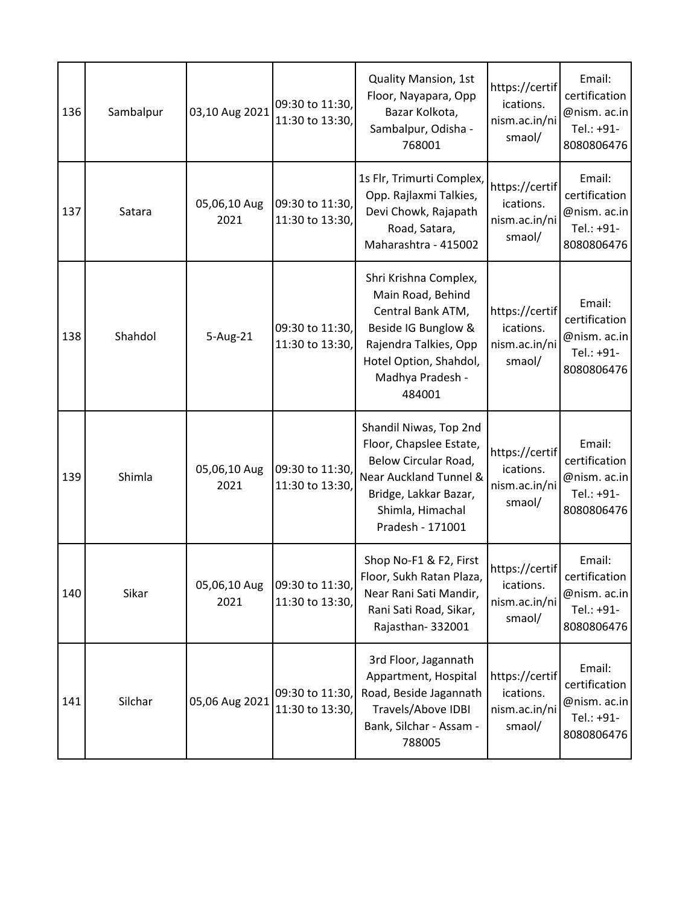| 136 | Sambalpur | 03,10 Aug 2021       | 09:30 to 11:30,<br>11:30 to 13:30, | <b>Quality Mansion, 1st</b><br>Floor, Nayapara, Opp<br>Bazar Kolkota,<br>Sambalpur, Odisha -<br>768001                                                                  | https://certif<br>ications.<br>nism.ac.in/ni<br>smaol/ | Email:<br>certification<br>@nism. ac.in<br>Tel.: +91-<br>8080806476 |
|-----|-----------|----------------------|------------------------------------|-------------------------------------------------------------------------------------------------------------------------------------------------------------------------|--------------------------------------------------------|---------------------------------------------------------------------|
| 137 | Satara    | 05,06,10 Aug<br>2021 | 09:30 to 11:30,<br>11:30 to 13:30, | 1s Flr, Trimurti Complex,<br>Opp. Rajlaxmi Talkies,<br>Devi Chowk, Rajapath<br>Road, Satara,<br>Maharashtra - 415002                                                    | https://certif<br>ications.<br>nism.ac.in/ni<br>smaol/ | Email:<br>certification<br>@nism. ac.in<br>Tel.: +91-<br>8080806476 |
| 138 | Shahdol   | 5-Aug-21             | 09:30 to 11:30,<br>11:30 to 13:30, | Shri Krishna Complex,<br>Main Road, Behind<br>Central Bank ATM,<br>Beside IG Bunglow &<br>Rajendra Talkies, Opp<br>Hotel Option, Shahdol,<br>Madhya Pradesh -<br>484001 | https://certif<br>ications.<br>nism.ac.in/ni<br>smaol/ | Email:<br>certification<br>@nism. ac.in<br>Tel.: +91-<br>8080806476 |
| 139 | Shimla    | 05,06,10 Aug<br>2021 | 09:30 to 11:30,<br>11:30 to 13:30, | Shandil Niwas, Top 2nd<br>Floor, Chapslee Estate,<br>Below Circular Road,<br>Near Auckland Tunnel &<br>Bridge, Lakkar Bazar,<br>Shimla, Himachal<br>Pradesh - 171001    | https://certif<br>ications.<br>nism.ac.in/ni<br>smaol/ | Email:<br>certification<br>@nism. ac.in<br>Tel.: +91-<br>8080806476 |
| 140 | Sikar     | 05,06,10 Aug<br>2021 | 09:30 to 11:30,<br>11:30 to 13:30, | Shop No-F1 & F2, First<br>Floor, Sukh Ratan Plaza,<br>Near Rani Sati Mandir,<br>Rani Sati Road, Sikar,<br>Rajasthan-332001                                              | https://certif<br>ications.<br>nism.ac.in/ni<br>smaol/ | Email:<br>certification<br>@nism. ac.in<br>Tel.: +91-<br>8080806476 |
| 141 | Silchar   | 05,06 Aug 2021       | 09:30 to 11:30,<br>11:30 to 13:30, | 3rd Floor, Jagannath<br>Appartment, Hospital<br>Road, Beside Jagannath<br>Travels/Above IDBI<br>Bank, Silchar - Assam -<br>788005                                       | https://certif<br>ications.<br>nism.ac.in/ni<br>smaol/ | Email:<br>certification<br>@nism. ac.in<br>Tel.: +91-<br>8080806476 |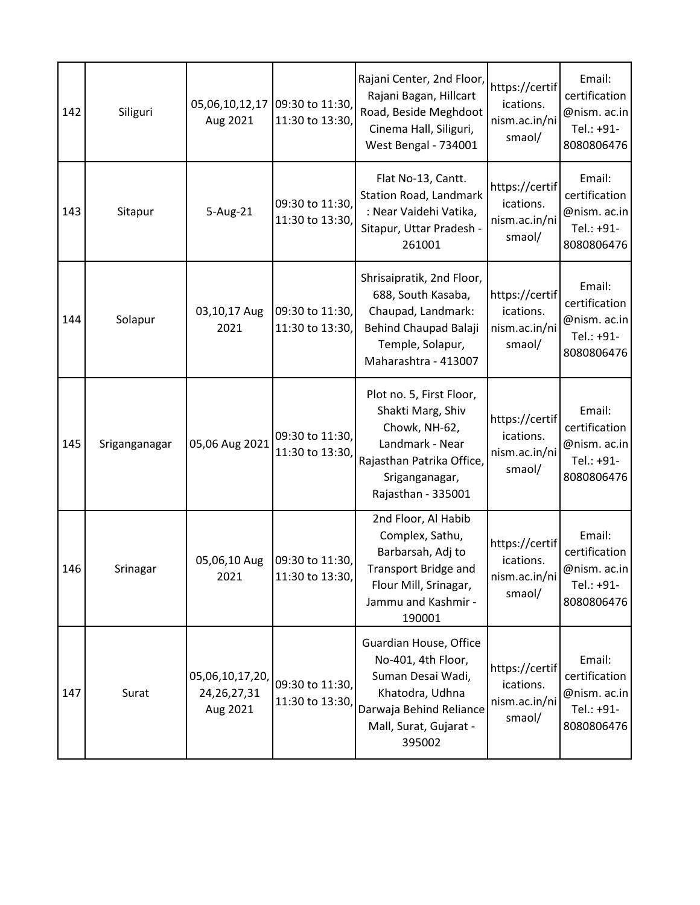| 142 | Siliguri      | 05,06,10,12,17<br>Aug 2021                    | 09:30 to 11:30,<br>11:30 to 13:30, | Rajani Center, 2nd Floor,<br>Rajani Bagan, Hillcart<br>Road, Beside Meghdoot<br>Cinema Hall, Siliguri,<br><b>West Bengal - 734001</b>                  | https://certif<br>ications.<br>nism.ac.in/ni<br>smaol/ | Email:<br>certification<br>@nism. ac.in<br>Tel.: +91-<br>8080806476 |
|-----|---------------|-----------------------------------------------|------------------------------------|--------------------------------------------------------------------------------------------------------------------------------------------------------|--------------------------------------------------------|---------------------------------------------------------------------|
| 143 | Sitapur       | 5-Aug-21                                      | 09:30 to 11:30,<br>11:30 to 13:30, | Flat No-13, Cantt.<br>Station Road, Landmark<br>: Near Vaidehi Vatika,<br>Sitapur, Uttar Pradesh -<br>261001                                           | https://certif<br>ications.<br>nism.ac.in/ni<br>smaol/ | Email:<br>certification<br>@nism. ac.in<br>Tel.: +91-<br>8080806476 |
| 144 | Solapur       | 03,10,17 Aug<br>2021                          | 09:30 to 11:30,<br>11:30 to 13:30, | Shrisaipratik, 2nd Floor,<br>688, South Kasaba,<br>Chaupad, Landmark:<br>Behind Chaupad Balaji<br>Temple, Solapur,<br>Maharashtra - 413007             | https://certif<br>ications.<br>nism.ac.in/ni<br>smaol/ | Email:<br>certification<br>@nism. ac.in<br>Tel.: +91-<br>8080806476 |
| 145 | Sriganganagar | 05,06 Aug 2021                                | 09:30 to 11:30,<br>11:30 to 13:30, | Plot no. 5, First Floor,<br>Shakti Marg, Shiv<br>Chowk, NH-62,<br>Landmark - Near<br>Rajasthan Patrika Office,<br>Sriganganagar,<br>Rajasthan - 335001 | https://certif<br>ications.<br>nism.ac.in/ni<br>smaol/ | Email:<br>certification<br>@nism. ac.in<br>Tel.: +91-<br>8080806476 |
| 146 | Srinagar      | 05,06,10 Aug<br>2021                          | 09:30 to 11:30,<br>11:30 to 13:30, | 2nd Floor, Al Habib<br>Complex, Sathu,<br>Barbarsah, Adj to<br>Transport Bridge and<br>Flour Mill, Srinagar,<br>Jammu and Kashmir -<br>190001          | https://certif<br>ications.<br>nism.ac.in/ni<br>smaol/ | Email:<br>certification<br>@nism. ac.in<br>Tel.: +91-<br>8080806476 |
| 147 | Surat         | 05,06,10,17,20,<br>24, 26, 27, 31<br>Aug 2021 | 09:30 to 11:30,<br>11:30 to 13:30, | Guardian House, Office<br>No-401, 4th Floor,<br>Suman Desai Wadi,<br>Khatodra, Udhna<br>Darwaja Behind Reliance<br>Mall, Surat, Gujarat -<br>395002    | https://certif<br>ications.<br>nism.ac.in/ni<br>smaol/ | Email:<br>certification<br>@nism. ac.in<br>Tel.: +91-<br>8080806476 |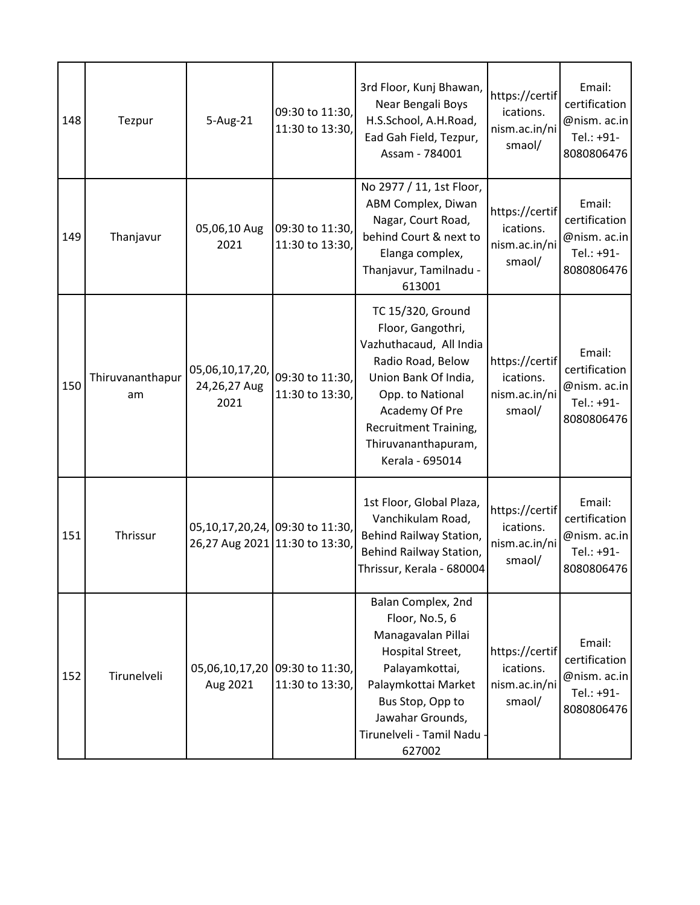| 148 | Tezpur                 | 5-Aug-21                                                          | 09:30 to 11:30,<br>11:30 to 13:30, | 3rd Floor, Kunj Bhawan,<br>Near Bengali Boys<br>H.S.School, A.H.Road,<br>Ead Gah Field, Tezpur,<br>Assam - 784001                                                                                                              | https://certif<br>ications.<br>nism.ac.in/ni<br>smaol/ | Email:<br>certification<br>@nism. ac.in<br>Tel.: +91-<br>8080806476 |
|-----|------------------------|-------------------------------------------------------------------|------------------------------------|--------------------------------------------------------------------------------------------------------------------------------------------------------------------------------------------------------------------------------|--------------------------------------------------------|---------------------------------------------------------------------|
| 149 | Thanjavur              | 05,06,10 Aug<br>2021                                              | 09:30 to 11:30,<br>11:30 to 13:30, | No 2977 / 11, 1st Floor,<br>ABM Complex, Diwan<br>Nagar, Court Road,<br>behind Court & next to<br>Elanga complex,<br>Thanjavur, Tamilnadu -<br>613001                                                                          | https://certif<br>ications.<br>nism.ac.in/ni<br>smaol/ | Email:<br>certification<br>@nism. ac.in<br>Tel.: +91-<br>8080806476 |
| 150 | Thiruvananthapur<br>am | 05,06,10,17,20,<br>24,26,27 Aug<br>2021                           | 09:30 to 11:30,<br>11:30 to 13:30, | TC 15/320, Ground<br>Floor, Gangothri,<br>Vazhuthacaud, All India<br>Radio Road, Below<br>Union Bank Of India,<br>Opp. to National<br>Academy Of Pre<br><b>Recruitment Training,</b><br>Thiruvananthapuram,<br>Kerala - 695014 | https://certif<br>ications.<br>nism.ac.in/ni<br>smaol/ | Email:<br>certification<br>@nism. ac.in<br>Tel.: +91-<br>8080806476 |
| 151 | Thrissur               | 05,10,17,20,24, 09:30 to 11:30,<br>26,27 Aug 2021 11:30 to 13:30, |                                    | 1st Floor, Global Plaza,<br>Vanchikulam Road,<br>Behind Railway Station,<br>Behind Railway Station,<br>Thrissur, Kerala - 680004                                                                                               | https://certif<br>ications.<br>nism.ac.in/ni<br>smaol/ | Email:<br>certification<br>@nism. ac.in<br>Tel.: +91-<br>8080806476 |
| 152 | Tirunelveli            | 05,06,10,17,20<br>Aug 2021                                        | 09:30 to 11:30,<br>11:30 to 13:30, | Balan Complex, 2nd<br>Floor, No.5, 6<br>Managavalan Pillai<br>Hospital Street,<br>Palayamkottai,<br>Palaymkottai Market<br>Bus Stop, Opp to<br>Jawahar Grounds,<br>Tirunelveli - Tamil Nadu<br>627002                          | https://certif<br>ications.<br>nism.ac.in/ni<br>smaol/ | Email:<br>certification<br>@nism. ac.in<br>Tel.: +91-<br>8080806476 |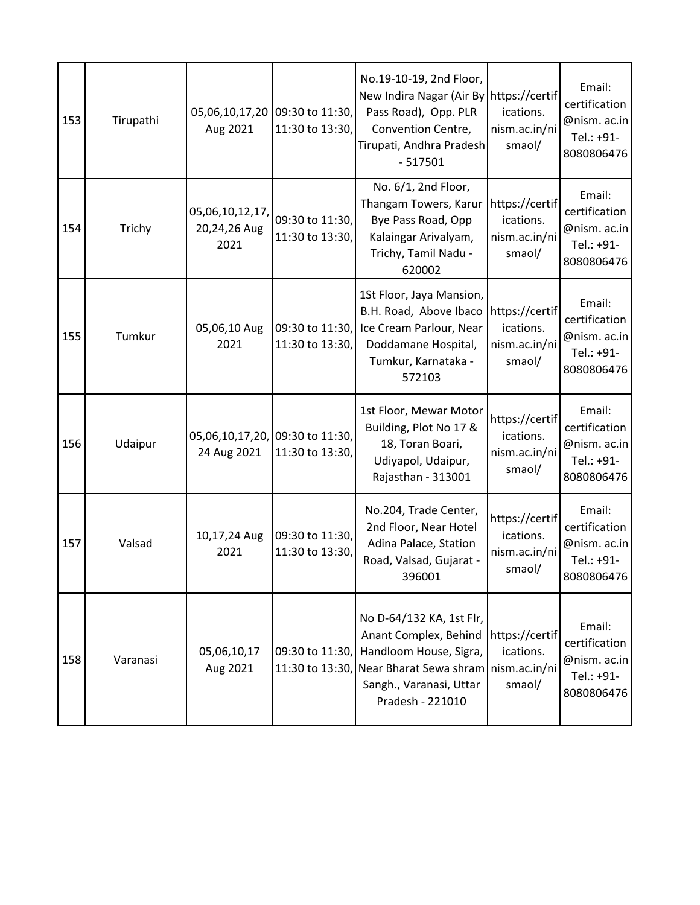| 153 | Tirupathi | 05,06,10,17,20<br>Aug 2021                     | 09:30 to 11:30,<br>11:30 to 13:30, | No.19-10-19, 2nd Floor,<br>New Indira Nagar (Air By https://certif<br>Pass Road), Opp. PLR<br>Convention Centre,<br>Tirupati, Andhra Pradesh<br>$-517501$          | ications.<br>nism.ac.in/ni<br>smaol/                   | Email:<br>certification<br>@nism. ac.in<br>Tel.: +91-<br>8080806476 |
|-----|-----------|------------------------------------------------|------------------------------------|--------------------------------------------------------------------------------------------------------------------------------------------------------------------|--------------------------------------------------------|---------------------------------------------------------------------|
| 154 | Trichy    | 05,06,10,12,17,<br>20,24,26 Aug<br>2021        | 09:30 to 11:30,<br>11:30 to 13:30, | No. 6/1, 2nd Floor,<br>Thangam Towers, Karur<br>Bye Pass Road, Opp<br>Kalaingar Arivalyam,<br>Trichy, Tamil Nadu -<br>620002                                       | https://certif<br>ications.<br>nism.ac.in/ni<br>smaol/ | Email:<br>certification<br>@nism. ac.in<br>Tel.: +91-<br>8080806476 |
| 155 | Tumkur    | 05,06,10 Aug<br>2021                           | 09:30 to 11:30,<br>11:30 to 13:30, | 1St Floor, Jaya Mansion,<br>B.H. Road, Above Ibaco<br>Ice Cream Parlour, Near<br>Doddamane Hospital,<br>Tumkur, Karnataka -<br>572103                              | https://certif<br>ications.<br>nism.ac.in/ni<br>smaol/ | Email:<br>certification<br>@nism. ac.in<br>Tel.: +91-<br>8080806476 |
| 156 | Udaipur   | 05,06,10,17,20, 09:30 to 11:30,<br>24 Aug 2021 | 11:30 to 13:30,                    | 1st Floor, Mewar Motor<br>Building, Plot No 17 &<br>18, Toran Boari,<br>Udiyapol, Udaipur,<br>Rajasthan - 313001                                                   | https://certif<br>ications.<br>nism.ac.in/ni<br>smaol/ | Email:<br>certification<br>@nism. ac.in<br>Tel.: +91-<br>8080806476 |
| 157 | Valsad    | 10,17,24 Aug<br>2021                           | 09:30 to 11:30,<br>11:30 to 13:30, | No.204, Trade Center,<br>2nd Floor, Near Hotel<br>Adina Palace, Station<br>Road, Valsad, Gujarat -<br>396001                                                       | https://certif<br>ications.<br>nism.ac.in/ni<br>smaol/ | Email:<br>certification<br>@nism. ac.in<br>Tel.: +91-<br>8080806476 |
| 158 | Varanasi  | 05,06,10,17<br>Aug 2021                        | 09:30 to 11:30,<br>11:30 to 13:30, | No D-64/132 KA, 1st Flr,<br>Anant Complex, Behind<br>Handloom House, Sigra,<br>Near Bharat Sewa shram nism.ac.in/ni<br>Sangh., Varanasi, Uttar<br>Pradesh - 221010 | https://certif<br>ications.<br>smaol/                  | Email:<br>certification<br>@nism. ac.in<br>Tel.: +91-<br>8080806476 |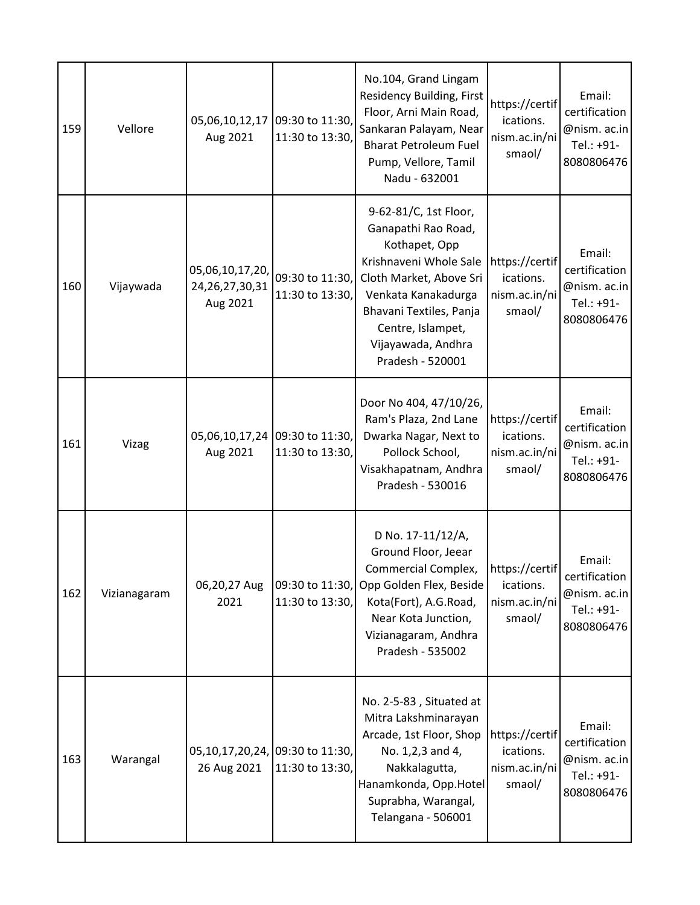| 159 | Vellore      | 05,06,10,12,17<br>Aug 2021                        | 09:30 to 11:30,<br>11:30 to 13:30, | No.104, Grand Lingam<br><b>Residency Building, First</b><br>Floor, Arni Main Road,<br>Sankaran Palayam, Near<br><b>Bharat Petroleum Fuel</b><br>Pump, Vellore, Tamil<br>Nadu - 632001                                               | https://certif<br>ications.<br>nism.ac.in/ni<br>smaol/ | Email:<br>certification<br>@nism. ac.in<br>Tel.: +91-<br>8080806476 |
|-----|--------------|---------------------------------------------------|------------------------------------|-------------------------------------------------------------------------------------------------------------------------------------------------------------------------------------------------------------------------------------|--------------------------------------------------------|---------------------------------------------------------------------|
| 160 | Vijaywada    | 05,06,10,17,20,<br>24, 26, 27, 30, 31<br>Aug 2021 | 09:30 to 11:30,<br>11:30 to 13:30, | 9-62-81/C, 1st Floor,<br>Ganapathi Rao Road,<br>Kothapet, Opp<br>Krishnaveni Whole Sale<br>Cloth Market, Above Sri<br>Venkata Kanakadurga<br>Bhavani Textiles, Panja<br>Centre, Islampet,<br>Vijayawada, Andhra<br>Pradesh - 520001 | https://certif<br>ications.<br>nism.ac.in/ni<br>smaol/ | Email:<br>certification<br>@nism. ac.in<br>Tel.: +91-<br>8080806476 |
| 161 | Vizag        | 05,06,10,17,24<br>Aug 2021                        | 09:30 to 11:30,<br>11:30 to 13:30, | Door No 404, 47/10/26,<br>Ram's Plaza, 2nd Lane<br>Dwarka Nagar, Next to<br>Pollock School,<br>Visakhapatnam, Andhra<br>Pradesh - 530016                                                                                            | https://certif<br>ications.<br>nism.ac.in/ni<br>smaol/ | Email:<br>certification<br>@nism. ac.in<br>Tel.: +91-<br>8080806476 |
| 162 | Vizianagaram | 06,20,27 Aug<br>2021                              | 11:30 to 13:30,                    | D No. 17-11/12/A,<br>Ground Floor, Jeear<br>Commercial Complex,<br>09:30 to 11:30, Opp Golden Flex, Beside<br>Kota(Fort), A.G.Road,<br>Near Kota Junction,<br>Vizianagaram, Andhra<br>Pradesh - 535002                              | https://certif<br>ications.<br>nism.ac.in/ni<br>smaol/ | Email:<br>certification<br>@nism. ac.in<br>Tel.: +91-<br>8080806476 |
| 163 | Warangal     | 05, 10, 17, 20, 24,<br>26 Aug 2021                | 09:30 to 11:30,<br>11:30 to 13:30, | No. 2-5-83, Situated at<br>Mitra Lakshminarayan<br>Arcade, 1st Floor, Shop<br>No. 1,2,3 and 4,<br>Nakkalagutta,<br>Hanamkonda, Opp.Hotel<br>Suprabha, Warangal,<br>Telangana - 506001                                               | https://certif<br>ications.<br>nism.ac.in/ni<br>smaol/ | Email:<br>certification<br>@nism. ac.in<br>Tel.: +91-<br>8080806476 |